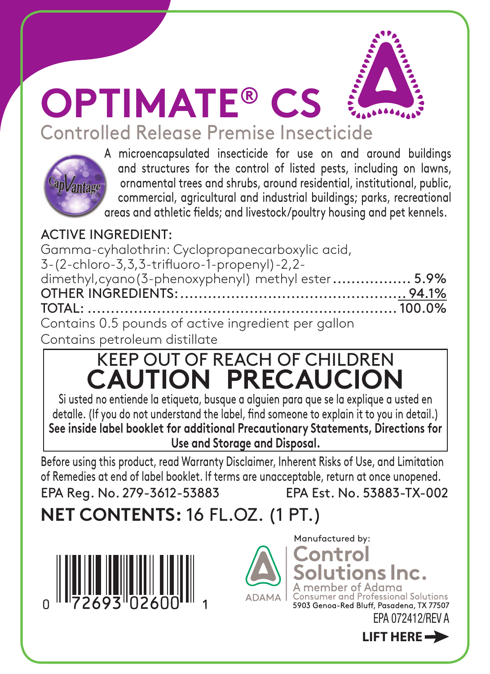

Controlled Release Premise Insecticide



A microencapsulated insecticide for use on and around buildings and structures for the control of listed pests, including on lawns, ornamental trees and shrubs, around residential, institutional, public, commercial, agricultural and industrial buildings; parks, recreational areas and athletic fields; and livestock/poultry housing and pet kennels.

## ACTIVE INGREDIENT:

| Gamma-cyhalothrin: Cyclopropanecarboxylic acid,     |  |
|-----------------------------------------------------|--|
| 3-(2-chloro-3,3,3-trifluoro-1-propenyl)-2,2-        |  |
| dimethyl, cyano (3-phenoxyphenyl) methyl ester 5.9% |  |
|                                                     |  |
|                                                     |  |
| Contains 0.5 pounds of active ingredient per gallon |  |
| Contains petroleum distillate                       |  |

## KEEP OUT OF REACH OF CHILDREN **CAUTION PRECAUCION**

Si usted no entiende la etiqueta, busque a alguien para que se la explique a usted en detalle. (If you do not understand the label, find someone to explain it to you in detail.) **See inside label booklet for additional Precautionary Statements, Directions for Use and Storage and Disposal.**

Before using this product, read Warranty Disclaimer, Inherent Risks of Use, and Limitation of Remedies at end of label booklet. If terms are unacceptable, return at once unopened. EPA Reg. No. 279-3612-53883 EPA Est. No. 53883-TX-002

**NET CONTENTS:** 16 FL.OZ. (1 PT.)





Manufactured by:Control

**LIFT HERE**

itions Inc. internact of Professional Solutions 5903 Genog-Red Bluff, Pasadena, TX 77507

EPA 072412/REV A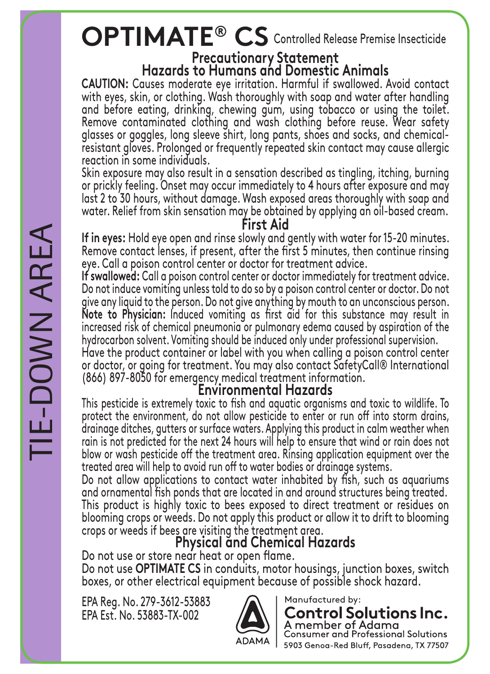## **OPTIMATE® CS** Controlled Release Premise Insecticide

## **Precautionary Statement**

**Hazards to Humans and Domestic Animals**<br>**CAUTION:** Causes moderate eve irritation. Harmful if swallowed. Avoid contact with eyes, skin, or clothing. Wash thoroughly with soap and water after handling and before eating, drinking, chewing gum, using tobacco or using the toilet. Remove contaminated clothing and wash clothing before reuse. Wear safety glasses or goggles, long sleeve shirt, long pants, shoes and socks, and chemicalresistant gloves. Prolonged or frequently repeated skin contact may cause allergic reaction in some individuals.

Skin exposure may also result in a sensation described as tingling, itching, burning or prickly feeling. Onset may occur immediately to 4 hours after exposure and may last 2 to 30 hours, without damage. Wash exposed areas thoroughly with soap and water. Relief from skin sensation may be obtained by applying an oil-based cream.

**First Aid**<br>If in eyes: Hold eye open and rinse slowly and gently with water for 15-20 minutes. Remove contact lenses, if present, after the first 5 minutes, then continue rinsing

eye. Call a poison control center or doctor for treatment advice.<br>If swallowed: Call a poison control center or doctor immediately for treatment advice. Do not induce vomiting unless told to do so by a poison control center or doctor. Do not give any liquid to the person. Do not give anything by mouth to an unconscious person.<br>Note to Physician: Induced vomiting as first aid for this substance may result in increased risk of chemical pneumonia or pulmonary edema caused by aspiration of the hydrocarbon solvent. Vomiting should be induced only under professional supervision.

Have the product container or label with you when calling a poison control center or doctor, or going for treatment. You may also contact SafetyCall® International (866) 897-8050 for emergency medical treatment information.

## **Environmental Hazards**

This pesticide is extremely toxic to fish and aquatic organisms and toxic to wildlife. To protect the environment, do not allow pesticide to enter or run off into storm drains, drainage ditches, gutters or surface waters. Applying this product in calm weather when rain is not predicted for the next 24 hours will help to ensure that wind or rain does not blow or wash pesticide off the treatment area. Rinsing application equipment over the treated area will help to avoid run off to water bodies or drainage systems.

Do not allow applications to contact water inhabited by fish, such as aquariums and ornamental fish ponds that are located in and around structures being treated. This product is highly toxic to bees exposed to direct treatment or residues on blooming crops or weeds. Do not apply this product or allow it to drift to blooming crops or weeds if bees are visiting the treatment area.

## **Physical and Chemical Hazards**

Do not use or store near heat or open flame.<br>Do not use **OPTIMATE CS** in conduits, motor housings, junction boxes, switch boxes, or other electrical equipment because of possible shock hazard.

EPA Reg. No. 279-3612-53883 EPA Est. No. 53883-TX-002



Manufactured by:

Control Solutions Inc. A member of Adama **Consumer and Professional Solutions** 5903 Genoa-Red Bluff, Pasadena, TX 77507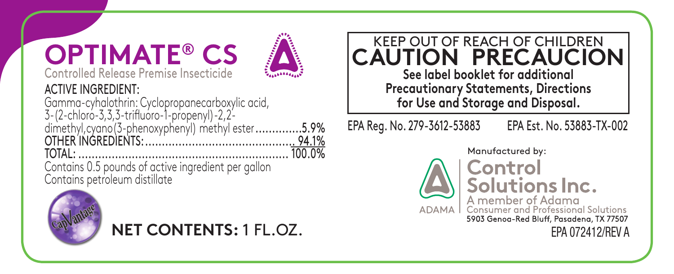## **OPTIMATE® CS** Controlled Release Premise Insecticide



## ACTIVE INGREDIENT:

Gamma-cyhalothrin: Cyclopropanecarboxylic acid, 3-(2-chloro-3,3,3-trifluoro-1-propenyl)-2,2 dimethyl,cyano(3-phenoxyphenyl) methyl ester..............5.9% OTHER INGREDIENTS:............................................. 94.1%  $T$  $\cap$  $T$  $\triangle$   $\vdots$ 

Contains 0.5 pounds of active ingredient per gallon Contains petroleum distillate



**NET CONTENTS:** 1 FL.OZ.

KEEP OUT OF REACH OF CHILDREN **CAUTION PRECAUCION See label booklet for additional Precautionary Statements, Directions for Use and Storage and Disposal.**

EPA Reg. No. 279-3612-53883 EPA Est. No. 53883-TX-002



Manufactured by:

Control Solutions Inc. A member of Adama<br>Consumer and Professional Solutions 5903 Genoa-Red Bluff, Pasadena, TX 77507 EPA 072412/REV A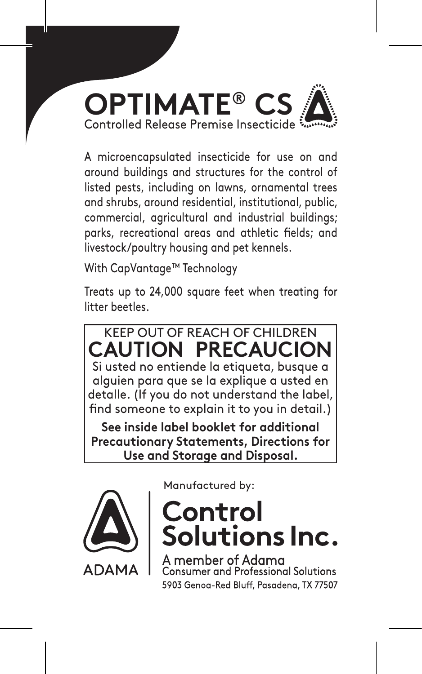

A microencapsulated insecticide for use on and around buildings and structures for the control of listed pests, including on lawns, ornamental trees and shrubs, around residential, institutional, public, commercial, agricultural and industrial buildings; parks, recreational areas and athletic fields; and livestock/poultry housing and pet kennels.

With CapVantage™ Technology

Treats up to 24,000 square feet when treating for litter beetles.

KEEP OUT OF REACH OF CHILDREN **CAUTION PRECAUCI** Si usted no entiende la etiqueta, busque a alguien para que se la explique a usted en detalle. (If you do not understand the label, find someone to explain it to you in detail.)

**See inside label booklet for additional Precautionary Statements, Directions for Use and Storage and Disposal.**



Manufactured by:

# Control<br>Solutions Inc.

ember of Adama numer and Professional Solutions 5903 Genog-Red Bluff, Pasadena, TX 77507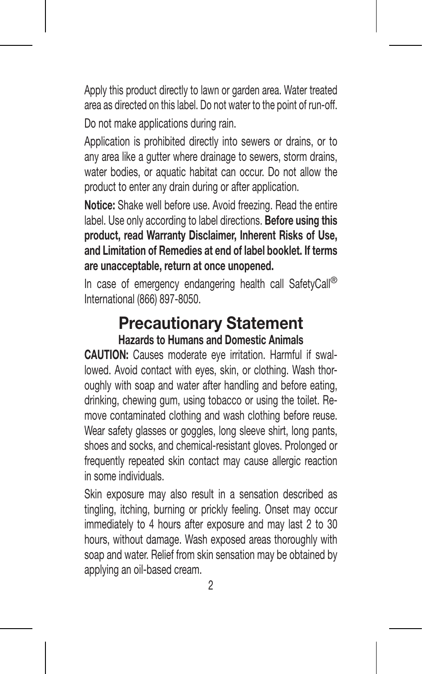Apply this product directly to lawn or garden area. Water treated area as directed on this label. Do not water to the point of run-off. Do not make applications during rain.

Application is prohibited directly into sewers or drains, or to any area like a gutter where drainage to sewers, storm drains, water bodies, or aquatic habitat can occur. Do not allow the product to enter any drain during or after application.

**Notice:** Shake well before use. Avoid freezing. Read the entire label. Use only according to label directions. **Before using this product, read Warranty Disclaimer, Inherent Risks of Use, and Limitation of Remedies at end of label booklet. If terms are unacceptable, return at once unopened.**

In case of emergency endangering health call SafetyCall® International (866) 897-8050.

## **Precautionary Statement Hazards to Humans and Domestic Animals**

**CAUTION:** Causes moderate eye irritation. Harmful if swallowed. Avoid contact with eyes, skin, or clothing. Wash thoroughly with soap and water after handling and before eating, drinking, chewing gum, using tobacco or using the toilet. Remove contaminated clothing and wash clothing before reuse. Wear safety glasses or goggles, long sleeve shirt, long pants, shoes and socks, and chemical-resistant gloves. Prolonged or frequently repeated skin contact may cause allergic reaction in some individuals.

Skin exposure may also result in a sensation described as tingling, itching, burning or prickly feeling. Onset may occur immediately to 4 hours after exposure and may last 2 to 30 hours, without damage. Wash exposed areas thoroughly with soap and water. Relief from skin sensation may be obtained by applying an oil-based cream.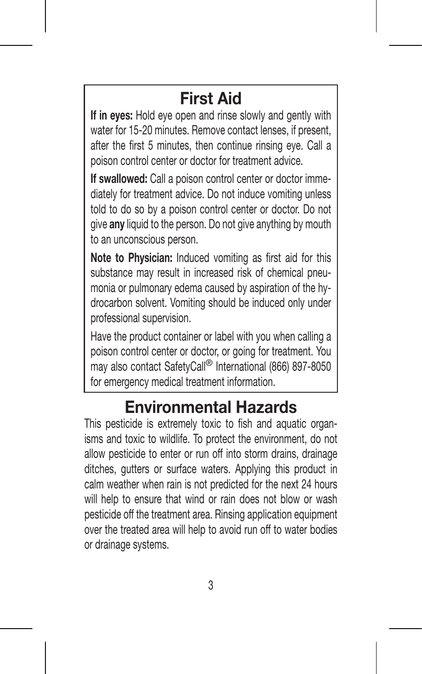## **First Aid**

**If in eyes:** Hold eye open and rinse slowly and gently with water for 15-20 minutes. Remove contact lenses, if present, after the first 5 minutes, then continue rinsing eye. Call a poison control center or doctor for treatment advice.

**If swallowed:** Call a poison control center or doctor immediately for treatment advice. Do not induce vomiting unless told to do so by a poison control center or doctor. Do not give **any** liquid to the person. Do not give anything by mouth to an unconscious person.

**Note to Physician:** Induced vomiting as first aid for this substance may result in increased risk of chemical pneumonia or pulmonary edema caused by aspiration of the hydrocarbon solvent. Vomiting should be induced only under professional supervision.

Have the product container or label with you when calling a poison control center or doctor, or going for treatment. You may also contact SafetyCall® International (866) 897-8050 for emergency medical treatment information.

## **Environmental Hazards**

This pesticide is extremely toxic to fish and aquatic organisms and toxic to wildlife. To protect the environment, do not allow pesticide to enter or run off into storm drains, drainage ditches, gutters or surface waters. Applying this product in calm weather when rain is not predicted for the next 24 hours will help to ensure that wind or rain does not blow or wash pesticide off the treatment area. Rinsing application equipment over the treated area will help to avoid run off to water bodies or drainage systems.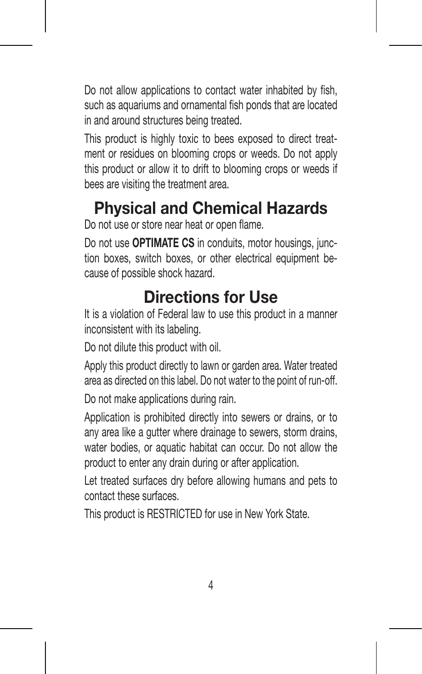Do not allow applications to contact water inhabited by fish. such as aquariums and ornamental fish ponds that are located in and around structures being treated.

This product is highly toxic to bees exposed to direct treatment or residues on blooming crops or weeds. Do not apply this product or allow it to drift to blooming crops or weeds if bees are visiting the treatment area.

## **Physical and Chemical Hazards**

Do not use or store near heat or open flame.

Do not use **OPTIMATE CS** in conduits, motor housings, junction boxes, switch boxes, or other electrical equipment because of possible shock hazard.

## **Directions for Use**

It is a violation of Federal law to use this product in a manner inconsistent with its labeling.

Do not dilute this product with oil.

Apply this product directly to lawn or garden area. Water treated area as directed on this label. Do not water to the point of run-off. Do not make applications during rain.

Application is prohibited directly into sewers or drains, or to any area like a gutter where drainage to sewers, storm drains, water bodies, or aquatic habitat can occur. Do not allow the product to enter any drain during or after application.

Let treated surfaces dry before allowing humans and pets to contact these surfaces.

This product is RESTRICTED for use in New York State.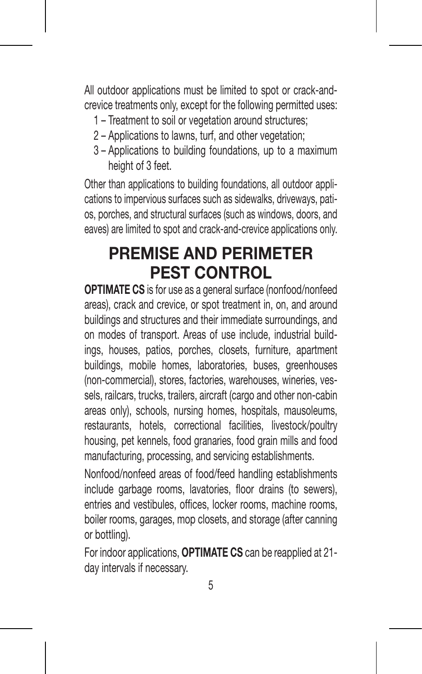All outdoor applications must be limited to spot or crack-andcrevice treatments only, except for the following permitted uses:

- 1 Treatment to soil or vegetation around structures;
- 2 Applications to lawns, turf, and other vegetation;
- 3 Applications to building foundations, up to a maximum height of 3 feet.

Other than applications to building foundations, all outdoor applications to impervious surfaces such as sidewalks, driveways, patios, porches, and structural surfaces (such as windows, doors, and eaves) are limited to spot and crack-and-crevice applications only.

## **PREMISE AND PERIMETER PEST CONTROL**

**OPTIMATE CS** is for use as a general surface (nonfood/nonfeed areas), crack and crevice, or spot treatment in, on, and around buildings and structures and their immediate surroundings, and on modes of transport. Areas of use include, industrial buildings, houses, patios, porches, closets, furniture, apartment buildings, mobile homes, laboratories, buses, greenhouses (non-commercial), stores, factories, warehouses, wineries, vessels, railcars, trucks, trailers, aircraft (cargo and other non-cabin areas only), schools, nursing homes, hospitals, mausoleums, restaurants, hotels, correctional facilities, livestock/poultry housing, pet kennels, food granaries, food grain mills and food manufacturing, processing, and servicing establishments.

Nonfood/nonfeed areas of food/feed handling establishments include garbage rooms, lavatories, floor drains (to sewers), entries and vestibules, offices, locker rooms, machine rooms, boiler rooms, garages, mop closets, and storage (after canning or bottling).

For indoor applications, **OPTIMATE CS** can be reapplied at 21 day intervals if necessary.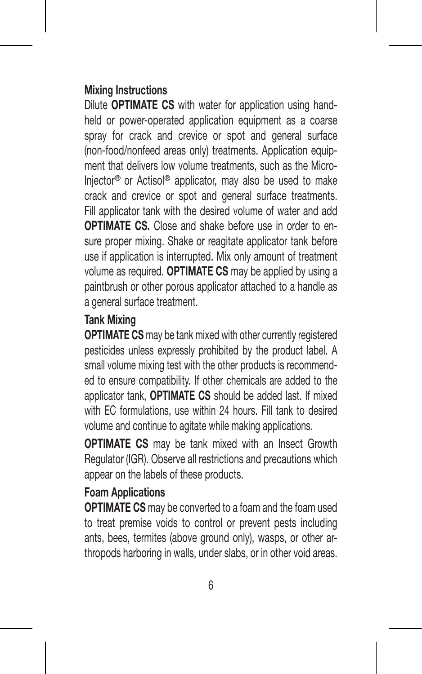#### **Mixing Instructions**

Dilute **OPTIMATE CS** with water for application using handheld or power-operated application equipment as a coarse spray for crack and crevice or spot and general surface (non-food/nonfeed areas only) treatments. Application equipment that delivers low volume treatments, such as the Micro-Injector® or Actisol® applicator, may also be used to make crack and crevice or spot and general surface treatments. Fill applicator tank with the desired volume of water and add **OPTIMATE CS.** Close and shake before use in order to ensure proper mixing. Shake or reagitate applicator tank before use if application is interrupted. Mix only amount of treatment volume as required. **OPTIMATE CS** may be applied by using a paintbrush or other porous applicator attached to a handle as a general surface treatment.

## **Tank Mixing**

**OPTIMATE CS** may be tank mixed with other currently registered pesticides unless expressly prohibited by the product label. A small volume mixing test with the other products is recommended to ensure compatibility. If other chemicals are added to the applicator tank, **OPTIMATE CS** should be added last. If mixed with EC formulations, use within 24 hours. Fill tank to desired volume and continue to agitate while making applications.

**OPTIMATE CS** may be tank mixed with an Insect Growth Regulator (IGR). Observe all restrictions and precautions which appear on the labels of these products.

## **Foam Applications**

**OPTIMATE CS** may be converted to a foam and the foam used to treat premise voids to control or prevent pests including ants, bees, termites (above ground only), wasps, or other arthropods harboring in walls, under slabs, or in other void areas.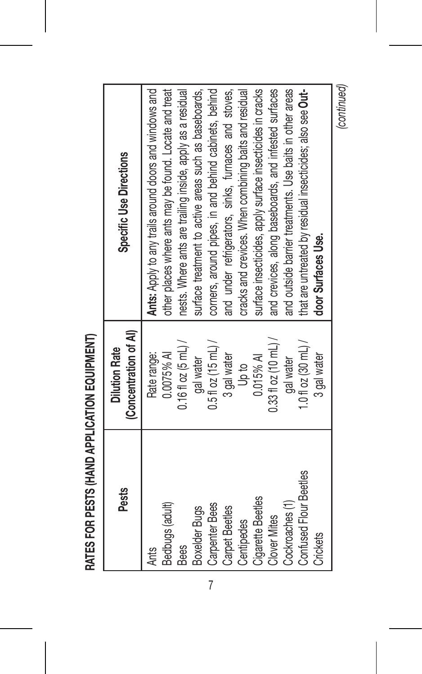| <b>Pests</b>                                                                                                                                                                                                                               | (Concentration of AI)<br><b>Dilution Rate</b>                                                                                                                                                                        | Specific Use Directions                                                                                                                                                                                                                                                                                                                                                                                                                                                                                                                                                                                                                                                                   |
|--------------------------------------------------------------------------------------------------------------------------------------------------------------------------------------------------------------------------------------------|----------------------------------------------------------------------------------------------------------------------------------------------------------------------------------------------------------------------|-------------------------------------------------------------------------------------------------------------------------------------------------------------------------------------------------------------------------------------------------------------------------------------------------------------------------------------------------------------------------------------------------------------------------------------------------------------------------------------------------------------------------------------------------------------------------------------------------------------------------------------------------------------------------------------------|
| Confused Flour Beetles<br><b>Cigarette Beetles</b><br>Cockroaches (1)<br>Bedbugs (adult)<br><b>Carpenter Bees</b><br><b>Boxelder Bugs</b><br><b>Carpet Beetles</b><br><b>Clover Mites</b><br>Centipedes<br>Crickets<br><b>Bees</b><br>Ants | $0.33$ floz (10 mL) /<br>$0.5$ fl oz (15 mL) /<br>1.0 fl oz $(30 \text{ mL})/$<br>$0.16$ fl oz $(5$ mL) /<br>0.0075% AI<br>Rate range:<br>3 gal water<br>3 gal water<br>0.015% AI<br>gal water<br>gal water<br>Up to | Ants: Apply to any trails around doors and windows and<br>other places where ants may be found. Locate and treat<br>corners, around pipes, in and behind cabinets, behind<br>surface insecticides, apply surface insecticides in cracks<br>and crevices, along baseboards, and infested surfaces<br>and outside barrier treatments. Use baits in other areas<br>nests. Where ants are trailing inside, apply as a residual<br>cracks and crevices. When combining baits and residual<br>that are untreated by residual insecticides; also see Out-<br>surface treatment to active areas such as baseboards,<br>and under refrigerators, sinks, furnaces and stoves,<br>door Surfaces Use. |
|                                                                                                                                                                                                                                            |                                                                                                                                                                                                                      | (continued)                                                                                                                                                                                                                                                                                                                                                                                                                                                                                                                                                                                                                                                                               |

RATES FOR PESTS (HAND APPLICATION EQUIPMENT) **RATES FOR PESTS (HAND APPLICATION EQUIPMENT)**

7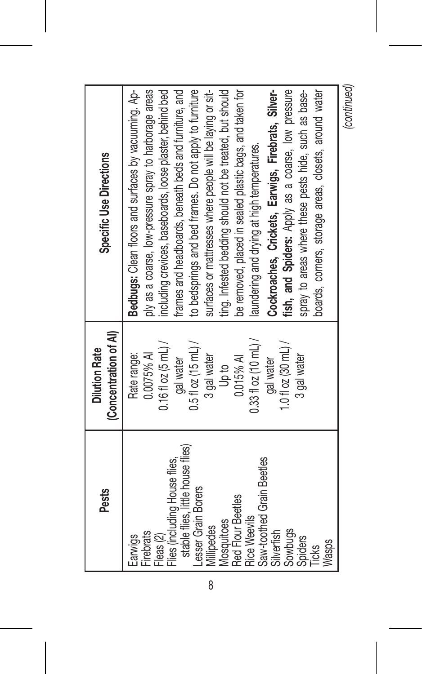| <b>Pests</b>                                                                                                                                                                                                                                                                                            | (Concentration of AI)<br><b>Dilution Rate</b>                                                                                                                                                                          | Specific Use Directions                                                                                                                                                                                                                                                                                                                                                                                                                                                                                                                                                                                                                                                                                                                                            |
|---------------------------------------------------------------------------------------------------------------------------------------------------------------------------------------------------------------------------------------------------------------------------------------------------------|------------------------------------------------------------------------------------------------------------------------------------------------------------------------------------------------------------------------|--------------------------------------------------------------------------------------------------------------------------------------------------------------------------------------------------------------------------------------------------------------------------------------------------------------------------------------------------------------------------------------------------------------------------------------------------------------------------------------------------------------------------------------------------------------------------------------------------------------------------------------------------------------------------------------------------------------------------------------------------------------------|
| stable flies. little house flies)<br>Saw-toothed Grain Beetles<br>Files (including House files,<br>Lesser Grain Borers<br>Red Flour Beetles<br><b>Rice Weevils</b><br>Mosquitoes<br>Millipedes<br>Sowbugs<br><b>Firebrats</b><br>Silverfish<br>Fleas (2)<br>Spiders<br>Earwigs<br><b>Wasps</b><br>Ticks | $0.33$ floz (10 mL) /<br>$0.511$ oz $(15$ mL) /<br>1.0 fl oz $(30 \text{ mL})/$<br>$0.16$ fl oz $(5$ mL) /<br>0.0075% AI<br>Rate range:<br>3 gal water<br>3 gal water<br>$0.015%$ A<br>gal water<br>gal water<br>Up to | be removed, placed in sealed plastic bags, and taken for<br>frames and headboards, beneath beds and furniture, and<br>Bedbugs: Clean floors and surfaces by vacuuming. Ap-<br>ting. Infested bedding should not be treated, but should<br>Cockroaches, Crickets, Earwigs, Firebrats, Silver-<br>ply as a coarse, low-pressure spray to harborage areas<br>including crevices, baseboards, loose plaster, behind bed<br>to bedsprings and bed frames. Do not apply to furniture<br>surfaces or mattresses where people will be laying or sit-<br>fish, and Spiders: Apply as a coarse, low pressure<br>spray to areas where these pests hide, such as base-<br>boards, corners, storage areas, closets, around water<br>laundering and drying at high temperatures. |
|                                                                                                                                                                                                                                                                                                         |                                                                                                                                                                                                                        | <b>Continued</b>                                                                                                                                                                                                                                                                                                                                                                                                                                                                                                                                                                                                                                                                                                                                                   |

*(continued)*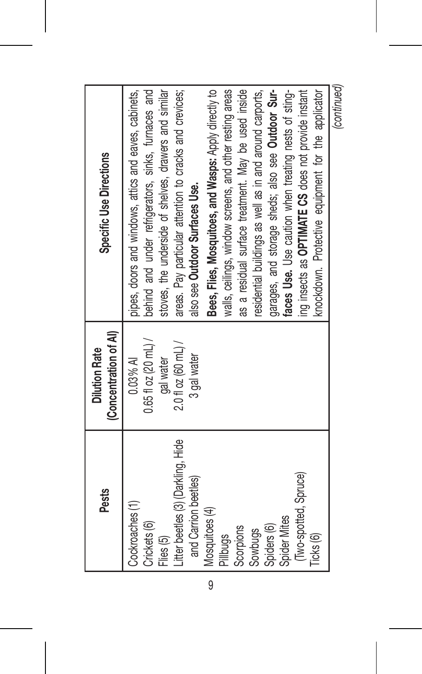| <b>Pests</b>                                                                                                                                                                                                                          | (Concentration of Al)<br><b>Dilution Rate</b>                                            | Specific Use Directions                                                                                                                                                                                                                                                                                                                                                                                                                                                                                                                                                                                                                                                                                                              |
|---------------------------------------------------------------------------------------------------------------------------------------------------------------------------------------------------------------------------------------|------------------------------------------------------------------------------------------|--------------------------------------------------------------------------------------------------------------------------------------------------------------------------------------------------------------------------------------------------------------------------------------------------------------------------------------------------------------------------------------------------------------------------------------------------------------------------------------------------------------------------------------------------------------------------------------------------------------------------------------------------------------------------------------------------------------------------------------|
| Litter beetles (3) (Darkling, Hide<br>(Two-spotted, Spruce)<br>and Carrion beetles)<br>Cockroaches (1)<br>Mosquitoes (4)<br>Spider Mites<br>Crickets (6)<br>Spiders (6)<br>Scorpions<br>Sowbugs<br>Ticks (6)<br>Pillbugs<br>Flies (5) | $0.65$ floz (20 mL) /<br>$2.0$ fl oz (60 mL) /<br>3 gal water<br>$0.03%$ AI<br>gal water | ing insects as OPTIMATE CS does not provide instant<br>Bees, Files, Mosquitoes, and Wasps: Apply directly to<br>walls, ceilings, window screens, and other resting areas<br>faces Use. Use caution when treating nests of sting-<br>as a residual surface treatment. May be used inside<br>knockdown. Protective equipment for the applicator<br>behind and under refrigerators, sinks, furnaces and<br>garages, and storage sheds; also see Outdoor Sur-<br>stoves, the underside of shelves, drawers and similar<br>areas. Pay particular attention to cracks and crevices;<br>residential buildings as well as in and around carports,<br>pipes, doors and windows, attics and eaves, cabinets,<br>also see Outdoor Surfaces Use. |
|                                                                                                                                                                                                                                       |                                                                                          | <i><b>Continuod</b></i>                                                                                                                                                                                                                                                                                                                                                                                                                                                                                                                                                                                                                                                                                                              |

*(continued)*

9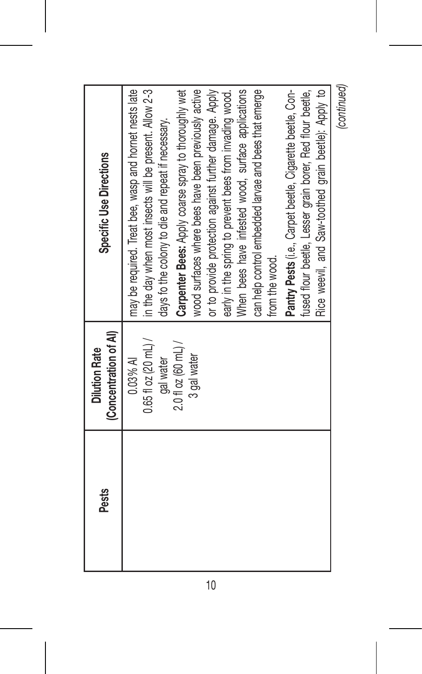| Pests | (Concentration of AI)<br><b>Dilution Rate</b>                                            | Specific Use Directions                                                                                                                                                                                                                                                                                                                                                                                                                                                                                                                                                                                                                                                                                                         |
|-------|------------------------------------------------------------------------------------------|---------------------------------------------------------------------------------------------------------------------------------------------------------------------------------------------------------------------------------------------------------------------------------------------------------------------------------------------------------------------------------------------------------------------------------------------------------------------------------------------------------------------------------------------------------------------------------------------------------------------------------------------------------------------------------------------------------------------------------|
|       | $0.65$ floz (20 mL) /<br>$2.0$ fl oz (60 mL) /<br>3 gal water<br>$0.03%$ AI<br>gal water | Rice weevil, and Saw-toothed grain beetle): Apply to<br>Carpenter Bees: Apply coarse spray to thoroughly wet<br>may be required. Treat bee, wasp and hornet nests late<br>in the day when most insects will be present. Allow 2-3<br>or to provide protection against further damage. Apply<br>When bees have infested wood, surface applications<br>Pantry Pests (i.e., Carpet beetle, Cigarette beetle, Con-<br>wood surfaces where bees have been previously active<br>can help control embedded larvae and bees that emerge<br>fused flour beetle, Lesser grain borer, Red flour beetle,<br>early in the spring to prevent bees from invading wood.<br>days fo the colony to die and repeat if necessary.<br>from the wood. |
|       |                                                                                          | (continued)                                                                                                                                                                                                                                                                                                                                                                                                                                                                                                                                                                                                                                                                                                                     |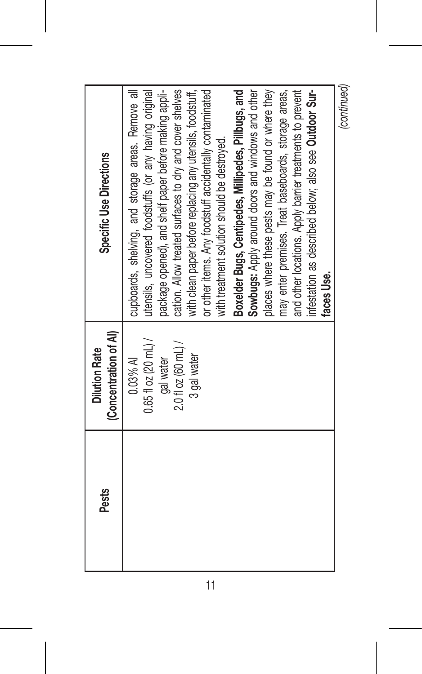| <b>Pests</b> | (Concentration of Al)<br><b>Dilution Rate</b>                                          | Specific Use Directions                                                                                                                                                                                                                                                                                                                                                                                                                                                                                                                                                                                                               |
|--------------|----------------------------------------------------------------------------------------|---------------------------------------------------------------------------------------------------------------------------------------------------------------------------------------------------------------------------------------------------------------------------------------------------------------------------------------------------------------------------------------------------------------------------------------------------------------------------------------------------------------------------------------------------------------------------------------------------------------------------------------|
|              | $0.65$ floz (20 mL) /<br>$2.0$ fl oz (60 mL) /<br>3 gal water<br>0.03% AI<br>gal water | places where these pests may be found or where they<br>cupboards, shelving, and storage areas. Remove all<br>utensils, uncovered foodstuffs (or any having original<br>package opened), and shelf paper before making appli-<br>cation. Allow treated surfaces to dry and cover shelves<br>or other items. Any foodstuff accidentally contaminated<br>Boxelder Bugs, Centipedes, Millipedes, Pillbugs, and<br>Sowbugs: Apply around doors and windows and other<br>may enter premises. Treat baseboards, storage areas,<br>with clean paper before replacing any utensils, foodstuff,<br>with treatment solution should be destroyed. |
|              |                                                                                        | and other locations. Apply barrier treatments to prevent<br>infestation as described below; also see Outdoor Sur-<br>faces Use.                                                                                                                                                                                                                                                                                                                                                                                                                                                                                                       |
|              |                                                                                        | (continued)                                                                                                                                                                                                                                                                                                                                                                                                                                                                                                                                                                                                                           |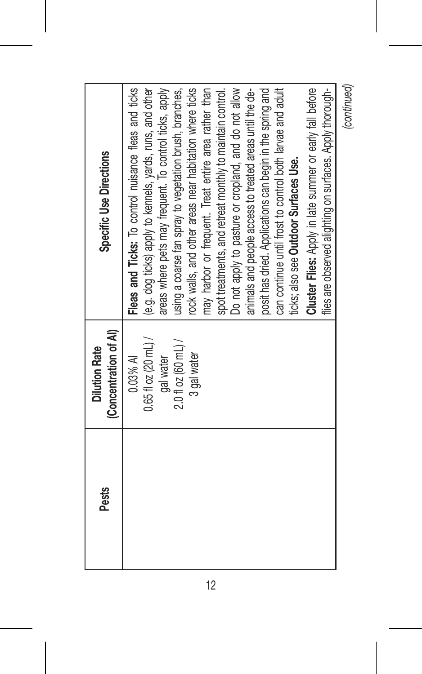| <b>Pests</b> | (Concentration of AI)<br><b>Dilution Rate</b> | Specific Use Directions                                   |
|--------------|-----------------------------------------------|-----------------------------------------------------------|
|              | $0.03%$ AI                                    | Fleas and Ticks: To control nuisance fleas and ticks      |
|              | $0.65$ fl oz (20 mL) /                        | (e.g. dog ticks) apply to kennels, yards, runs, and other |
|              | gal water                                     | areas where pets may frequent. To control ticks, apply    |
|              | $2.0$ fl oz (60 mL) /                         | using a coarse fan spray to vegetation brush, branches,   |
|              | 3 gal water                                   | rock walls, and other areas near habitation where ticks   |
|              |                                               | may harbor or frequent. Treat entire area rather than     |
|              |                                               | spot treatments, and retreat monthly to maintain control. |
|              |                                               | Do not apply to pasture or cropland, and do not allow     |
|              |                                               | animals and people access to treated areas until the de-  |
|              |                                               | posit has dried. Applications can begin in the spring and |
|              |                                               | can continue until frost to control both larvae and adult |
|              |                                               | ticks; also see Outdoor Surfaces Use.                     |
|              |                                               | Cluster Flies: Apply in late summer or early fall before  |
|              |                                               | flies are observed alighting on surfaces. Apply thorough- |
|              |                                               | (continued)                                               |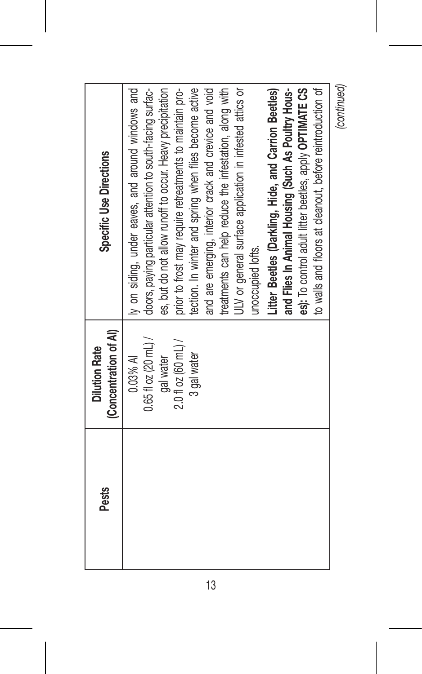| <b>Pests</b> | (Concentration of Al)<br><b>Dilution Rate</b> | Specific Use Directions                                    |
|--------------|-----------------------------------------------|------------------------------------------------------------|
|              | $0.03%$ AI                                    | ly on siding, under eaves, and around windows and          |
|              | $0.65$ fl oz (20 mL) /                        | doors, paying particular attention to south-facing surfac- |
|              | gal water                                     | es, but do not allow runoff to occur. Heavy precipitation  |
|              | $2.0$ fl oz (60 mL) /                         | prior to frost may require retreatments to maintain pro-   |
|              | 3 gal water                                   | tection. In winter and spring when files become active     |
|              |                                               | and are emerging, interior crack and crevice and void      |
|              |                                               | treatments can help reduce the infestation, along with     |
|              |                                               | ULV or general surface application in infested attics or   |
|              |                                               | unoccupied lofts.                                          |
|              |                                               | Litter Beetles (Darkling, Hide, and Carrion Beetles)       |
|              |                                               | and Files In Animal Housing (Such As Poultry Hous-         |
|              |                                               | es): To control adult litter beetles, apply OPTIMATE CS    |
|              |                                               | to walls and floors at cleanout, before reintroduction of  |
|              |                                               | (continued)                                                |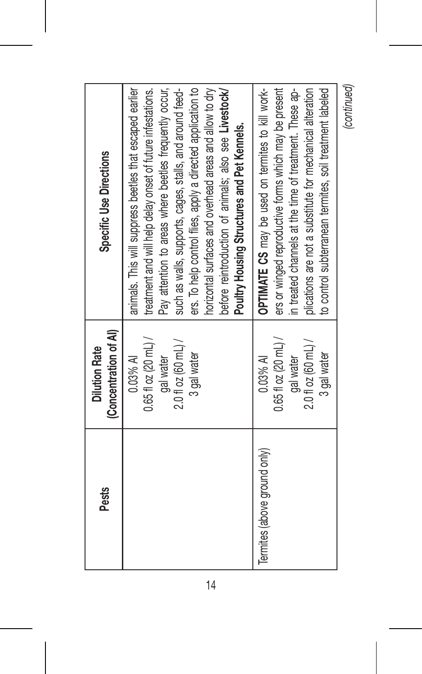| <b>Pests</b>                 | (Concentration of AI)<br><b>Dilution Rate</b>                                             | Specific Use Directions                                                                                                                                                                                                                                                                                                                                                                                                                                                         |
|------------------------------|-------------------------------------------------------------------------------------------|---------------------------------------------------------------------------------------------------------------------------------------------------------------------------------------------------------------------------------------------------------------------------------------------------------------------------------------------------------------------------------------------------------------------------------------------------------------------------------|
|                              | $0.65f1$ oz (20 mL) /<br>$2.0$ fl oz (60 mL) /<br>3 gal water<br>$0.03\%$ A<br>gal water  | ers. To help control files, apply a directed application to<br>horizontal surfaces and overhead areas and allow to dry<br>animals. This will suppress beetles that escaped earlier<br>Pay attention to areas where beetles frequently occur,<br>such as walls, supports, cages, stalls, and around feed-<br>before reintroduction of animals; also see Livestock/<br>treatment and will help delay onset of future infestations.<br>Poultry Housing Structures and Pet Kennels. |
| Termites (above ground only) | $0.65$ fl oz (20 mL) /<br>$2.0$ fl oz (60 mL) /<br>3 gal water<br>$0.03%$ AI<br>gal water | ers or winged reproductive forms which may be present<br>OPTIMATE CS may be used on termites to kill work-<br>in treated channels at the time of treatment. These ap-<br>plications are not a substitute for mechanical alteration<br>to control subterranean termites, soil treatment labeled                                                                                                                                                                                  |
|                              |                                                                                           | (continued)                                                                                                                                                                                                                                                                                                                                                                                                                                                                     |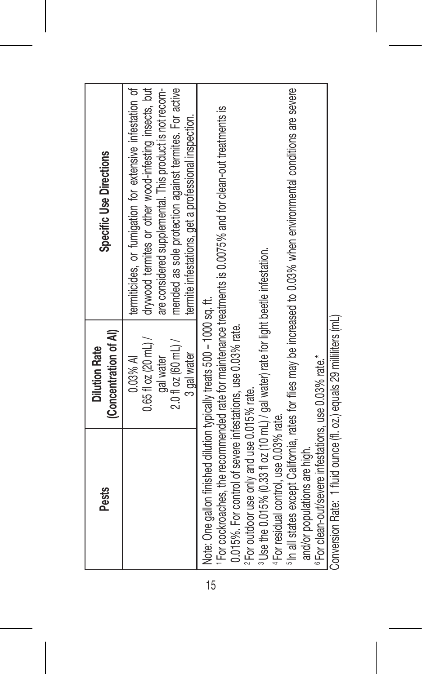| <b>Pests</b>                                                                                                                                                                                                                                                                                                        | (Concentration of Al)<br><b>Dilution Rate</b>                                              | Specific Use Directions                                                                                                                                                                                                                                                                        |
|---------------------------------------------------------------------------------------------------------------------------------------------------------------------------------------------------------------------------------------------------------------------------------------------------------------------|--------------------------------------------------------------------------------------------|------------------------------------------------------------------------------------------------------------------------------------------------------------------------------------------------------------------------------------------------------------------------------------------------|
|                                                                                                                                                                                                                                                                                                                     | $0.65$ fl oz (20 mL) /<br>$2.0$ fl oz (60 mL) /<br>3 gal water<br>gal water<br>$0.03\%$ AI | termiticides, or fumigation for extensive infestation of<br>drywood termites or other wood-infesting insects, but<br>are considered supplemental. This product is not recom-<br>mended as sole protection against termites. For active<br>termite infestations, get a professional inspection. |
| Note: One gallon finished dilution typically treats 500 - 1000 sq. ft.<br>0.015%. For control of severe infestations, use 0.03% rate.                                                                                                                                                                               |                                                                                            | <sup>1</sup> For cockroaches, the recommended rate for maintenance treatments is 0.0075% and for clean-out treatments is                                                                                                                                                                       |
| <sup>3</sup> Use the 0.015% (0.33 fl oz (10 mL) / gal water) rate for light beetle infestation.<br><sup>6</sup> For clean-out/severe infestations, use 0.03% rate.*<br><sup>2</sup> For outdoor use only and use 0.015% rate.<br><sup>4</sup> For residual control, use 0.03% rate.<br>and/or populations are high. |                                                                                            | <sup>5</sup> In all states except California, rates for files may be increased to 0.03% when environmental conditions are severe                                                                                                                                                               |
| Conversion Rate: 1 fluid ounce (fl. oz.) equals 29 milliters (mL)                                                                                                                                                                                                                                                   |                                                                                            |                                                                                                                                                                                                                                                                                                |

15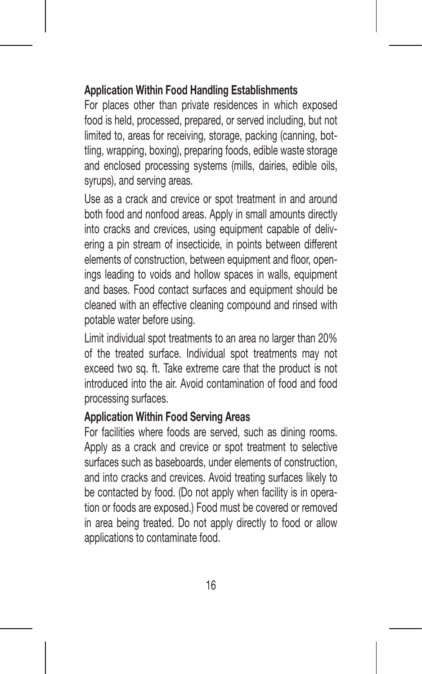#### **Application Within Food Handling Establishments**

For places other than private residences in which exposed food is held, processed, prepared, or served including, but not limited to, areas for receiving, storage, packing (canning, bottling, wrapping, boxing), preparing foods, edible waste storage and enclosed processing systems (mills, dairies, edible oils, syrups), and serving areas.

Use as a crack and crevice or spot treatment in and around both food and nonfood areas. Apply in small amounts directly into cracks and crevices, using equipment capable of delivering a pin stream of insecticide, in points between different elements of construction, between equipment and floor, openings leading to voids and hollow spaces in walls, equipment and bases. Food contact surfaces and equipment should be cleaned with an effective cleaning compound and rinsed with potable water before using.

Limit individual spot treatments to an area no larger than 20% of the treated surface. Individual spot treatments may not exceed two sq. ft. Take extreme care that the product is not introduced into the air. Avoid contamination of food and food processing surfaces.

## **Application Within Food Serving Areas**

For facilities where foods are served, such as dining rooms. Apply as a crack and crevice or spot treatment to selective surfaces such as baseboards, under elements of construction, and into cracks and crevices. Avoid treating surfaces likely to be contacted by food. (Do not apply when facility is in operation or foods are exposed.) Food must be covered or removed in area being treated. Do not apply directly to food or allow applications to contaminate food.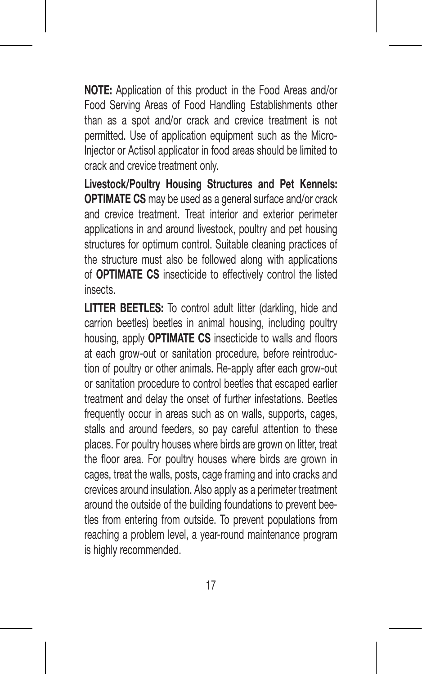**NOTE:** Application of this product in the Food Areas and/or Food Serving Areas of Food Handling Establishments other than as a spot and/or crack and crevice treatment is not permitted. Use of application equipment such as the Micro-Injector or Actisol applicator in food areas should be limited to crack and crevice treatment only.

**Livestock/Poultry Housing Structures and Pet Kennels: OPTIMATE CS** may be used as a general surface and/or crack and crevice treatment. Treat interior and exterior perimeter applications in and around livestock, poultry and pet housing structures for optimum control. Suitable cleaning practices of the structure must also be followed along with applications of **OPTIMATE CS** insecticide to effectively control the listed insects.

**LITTER BEETLES:** To control adult litter (darkling, hide and carrion beetles) beetles in animal housing, including poultry housing, apply **OPTIMATE CS** insecticide to walls and floors at each grow-out or sanitation procedure, before reintroduction of poultry or other animals. Re-apply after each grow-out or sanitation procedure to control beetles that escaped earlier treatment and delay the onset of further infestations. Beetles frequently occur in areas such as on walls, supports, cages, stalls and around feeders, so pay careful attention to these places. For poultry houses where birds are grown on litter, treat the floor area. For poultry houses where birds are grown in cages, treat the walls, posts, cage framing and into cracks and crevices around insulation. Also apply as a perimeter treatment around the outside of the building foundations to prevent beetles from entering from outside. To prevent populations from reaching a problem level, a year-round maintenance program is highly recommended.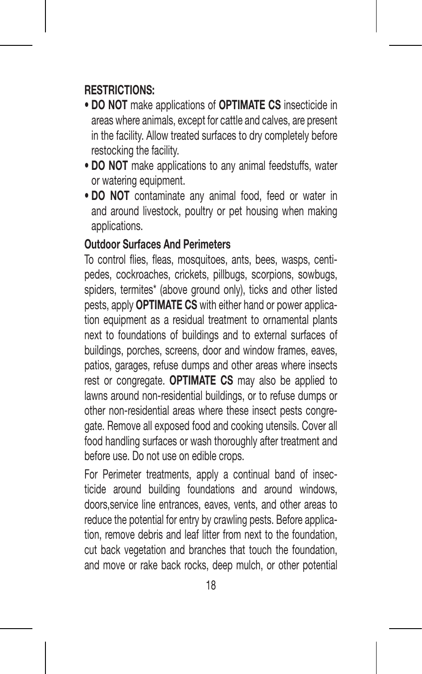#### **RESTRICTIONS:**

- **DO NOT** make applications of **OPTIMATE CS** insecticide in areas where animals, except for cattle and calves, are present in the facility. Allow treated surfaces to dry completely before restocking the facility.
- **DO NOT** make applications to any animal feedstuffs, water or watering equipment.
- **DO NOT** contaminate any animal food, feed or water in and around livestock, poultry or pet housing when making applications.

#### **Outdoor Surfaces And Perimeters**

To control flies, fleas, mosquitoes, ants, bees, wasps, centipedes, cockroaches, crickets, pillbugs, scorpions, sowbugs, spiders, termites\* (above ground only), ticks and other listed pests, apply **OPTIMATE CS** with either hand or power application equipment as a residual treatment to ornamental plants next to foundations of buildings and to external surfaces of buildings, porches, screens, door and window frames, eaves, patios, garages, refuse dumps and other areas where insects rest or congregate. **OPTIMATE CS** may also be applied to lawns around non-residential buildings, or to refuse dumps or other non-residential areas where these insect pests congregate. Remove all exposed food and cooking utensils. Cover all food handling surfaces or wash thoroughly after treatment and before use. Do not use on edible crops.

For Perimeter treatments, apply a continual band of insecticide around building foundations and around windows, doors,service line entrances, eaves, vents, and other areas to reduce the potential for entry by crawling pests. Before application, remove debris and leaf litter from next to the foundation cut back vegetation and branches that touch the foundation, and move or rake back rocks, deep mulch, or other potential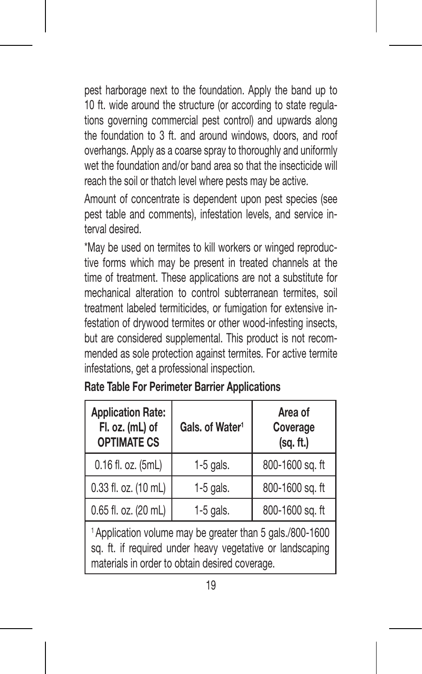pest harborage next to the foundation. Apply the band up to 10 ft. wide around the structure (or according to state regulations governing commercial pest control) and upwards along the foundation to 3 ft. and around windows, doors, and roof overhangs. Apply as a coarse spray to thoroughly and uniformly wet the foundation and/or band area so that the insecticide will reach the soil or thatch level where pests may be active.

Amount of concentrate is dependent upon pest species (see pest table and comments), infestation levels, and service interval desired.

\*May be used on termites to kill workers or winged reproductive forms which may be present in treated channels at the time of treatment. These applications are not a substitute for mechanical alteration to control subterranean termites, soil treatment labeled termiticides, or fumigation for extensive infestation of drywood termites or other wood-infesting insects, but are considered supplemental. This product is not recommended as sole protection against termites. For active termite infestations, get a professional inspection.

| <b>Application Rate:</b><br>Fl. oz. (mL) of<br><b>OPTIMATE CS</b>                                                                                                                   | Gals, of Water <sup>1</sup> | Area of<br>Coverage<br>(sq. ft.) |
|-------------------------------------------------------------------------------------------------------------------------------------------------------------------------------------|-----------------------------|----------------------------------|
| 0.16 fl. oz. (5mL)                                                                                                                                                                  | $1-5$ gals.                 | 800-1600 sq. ft                  |
| 0.33 fl. oz. (10 mL)                                                                                                                                                                | $1-5$ gals.                 | 800-1600 sq. ft                  |
| 0.65 fl. oz. (20 mL)                                                                                                                                                                | $1-5$ gals.                 | 800-1600 sq. ft                  |
| <sup>1</sup> Application volume may be greater than 5 gals./800-1600<br>sq. ft. if required under heavy vegetative or landscaping<br>materials in order to obtain desired coverage. |                             |                                  |

**Rate Table For Perimeter Barrier Applications**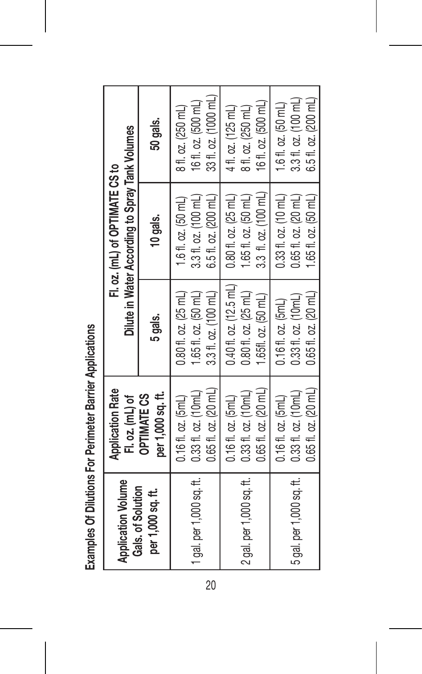| <b>Application Volume</b><br>Gals. of Solution | <b>Application Rate</b><br>Fl. oz. (mL) of |                                         | Dilute in Water According to Spray Tank Volumes<br>Fl. oz. (mL) of OPTIMATE CS to |                      |
|------------------------------------------------|--------------------------------------------|-----------------------------------------|-----------------------------------------------------------------------------------|----------------------|
| per 1,000 sq. ft.                              | per 1,000 sq. ft.<br><b>OPTIMATE CS</b>    | 5 gals.                                 | 10 gals.                                                                          | 50 gals.             |
|                                                | $0.16f$ $l$ . $oz$ . $5mL$                 | $0.80$ fl. oz. $(25 \text{ ml})$        | 1.6 fl. oz. $(50 \text{ mL})$                                                     | 8 fl. oz. (250 mL)   |
| 1 gal. per 1,000 sq. ft.                       | 0.33 fl. oz. (10mL)                        | 1.65f1. oz. (50mL)                      | 3.3 fl. oz. (100 mL)                                                              | 16 fl. oz. (500 mL)  |
|                                                | $0.65f1.$ oz. $[20mL]$                     | 3.3 fl. oz. (100 mL)                    | 6.5 fl. oz. (200 mL)                                                              | 33 fl. oz. (1000 mL) |
|                                                | $0.16f$ $1. oz. 5m$ L)                     | $0.40$ fl. oz. (12.5 mL)                | $0.80$ fl. oz. (25 mL)                                                            | 41. oz. (125 mL)     |
| 2 gal. per 1,000 sq. ft.                       | $0.33$ fl. oz. $(10mL)$                    | $0.80$ fl. oz. (25 mL)                  | 1.65 fl. oz. $(50 \text{ mL})$                                                    | 8 fl. oz. (250 mL)   |
|                                                | $0.65f1.$ oz. $(20mL)$                     | $1.65f1.$ $\alpha$ z. $(50 \text{ mL})$ | 3.3 fl. oz. (100 mL)                                                              | 16 fl. oz. (500 mL)  |
|                                                | $0.16f$ $1.$ $oz$ . $5mL$                  | $0.16f1.$ $oz.$ $(5mL)$                 | $0.33$ fl. oz. (10 mL)                                                            | 1.6 fl. oz. (50 mL)  |
| 5 gal. per 1,000 sq. ft.                       | $0.33$ fl. oz. $(10mL)$                    | $0.33$ fl. oz. (10mL)                   | $0.65$ fl. oz. $(20$ mL)                                                          | 3.3 fl. oz. (100 mL) |
|                                                | $0.65$ fl. oz. $[20$ mL)                   | $0.65f1.$ oz. $(20mL)$                  | 1.65 fl. oz. (50 mL)                                                              | 6.5 fl. oz. (200 mL) |

Examples Of Dilutions For Perimeter Barrier Applications **Examples Of Dilutions For Perimeter Barrier Applications**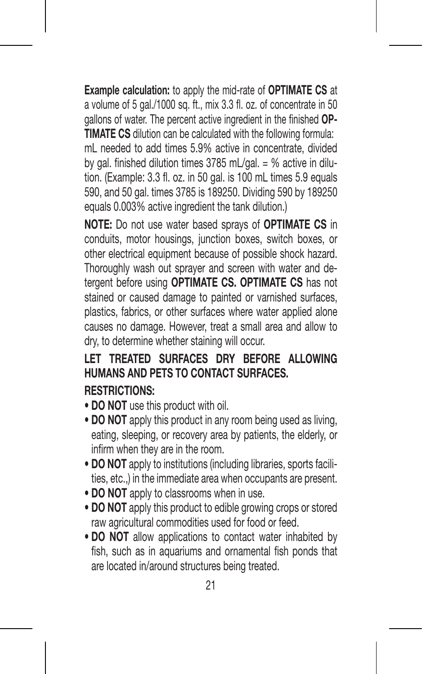**Example calculation:** to apply the mid-rate of **OPTIMATE CS** at a volume of 5 gal./1000 sq. ft., mix 3.3 fl. oz. of concentrate in 50 gallons of water. The percent active ingredient in the finished **OP-TIMATE CS** dilution can be calculated with the following formula: mL needed to add times 5.9% active in concentrate, divided by gal. finished dilution times 3785 mL/gal. = % active in dilution. (Example: 3.3 fl. oz. in 50 gal. is 100 mL times 5.9 equals 590, and 50 gal. times 3785 is 189250. Dividing 590 by 189250 equals 0.003% active ingredient the tank dilution.)

**NOTE:** Do not use water based sprays of **OPTIMATE CS** in conduits, motor housings, junction boxes, switch boxes, or other electrical equipment because of possible shock hazard. Thoroughly wash out sprayer and screen with water and detergent before using **OPTIMATE CS. OPTIMATE CS** has not stained or caused damage to painted or varnished surfaces. plastics, fabrics, or other surfaces where water applied alone causes no damage. However, treat a small area and allow to dry, to determine whether staining will occur.

## **LET TREATED SURFACES DRY BEFORE ALLOWING HUMANS AND PETS TO CONTACT SURFACES.**

#### **RESTRICTIONS:**

- **DO NOT** use this product with oil.
- **DO NOT** apply this product in any room being used as living, eating, sleeping, or recovery area by patients, the elderly, or infirm when they are in the room.
- **DO NOT** apply to institutions (including libraries, sports facilities, etc.,) in the immediate area when occupants are present.
- **DO NOT** apply to classrooms when in use.
- **DO NOT** apply this product to edible growing crops or stored raw agricultural commodities used for food or feed.
- **DO NOT** allow applications to contact water inhabited by fish, such as in aquariums and ornamental fish ponds that are located in/around structures being treated.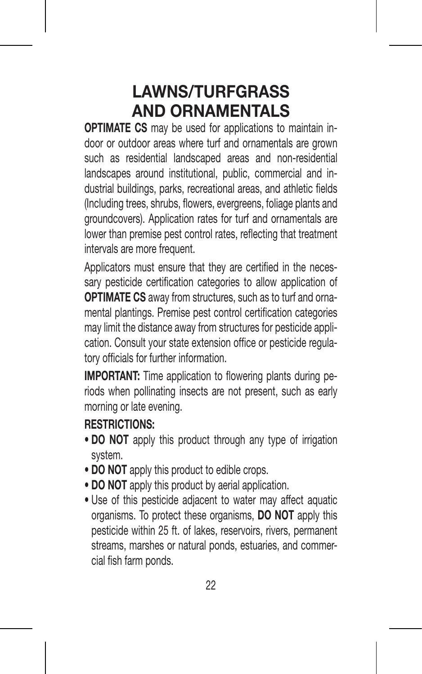## **LAWNS/TURFGRASS AND ORNAMENTALS**

**OPTIMATE CS** may be used for applications to maintain indoor or outdoor areas where turf and ornamentals are grown such as residential landscaped areas and non-residential landscapes around institutional, public, commercial and industrial buildings, parks, recreational areas, and athletic fields (Including trees, shrubs, flowers, evergreens, foliage plants and groundcovers). Application rates for turf and ornamentals are lower than premise pest control rates, reflecting that treatment intervals are more frequent.

Applicators must ensure that they are certified in the necessary pesticide certification categories to allow application of **OPTIMATE CS** away from structures, such as to turf and ornamental plantings. Premise pest control certification categories may limit the distance away from structures for pesticide application. Consult your state extension office or pesticide regulatory officials for further information.

**IMPORTANT:** Time application to flowering plants during periods when pollinating insects are not present, such as early morning or late evening.

#### **RESTRICTIONS:**

- **DO NOT** apply this product through any type of irrigation system.
- **DO NOT** apply this product to edible crops.
- **DO NOT** apply this product by aerial application.
- Use of this pesticide adjacent to water may affect aquatic organisms. To protect these organisms, **DO NOT** apply this pesticide within 25 ft. of lakes, reservoirs, rivers, permanent streams, marshes or natural ponds, estuaries, and commercial fish farm ponds.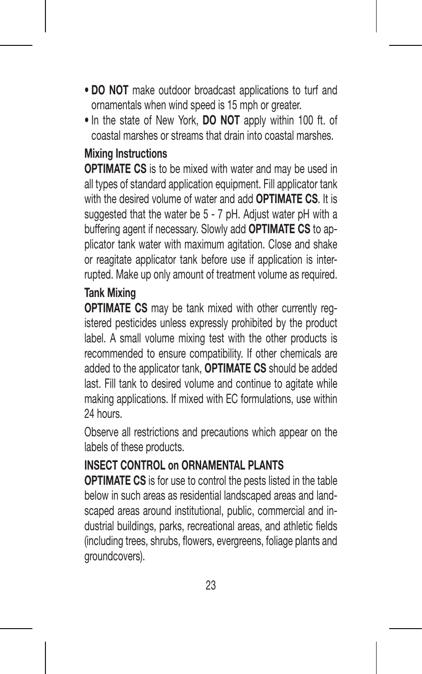- **DO NOT** make outdoor broadcast applications to turf and ornamentals when wind speed is 15 mph or greater.
- In the state of New York, **DO NOT** apply within 100 ft. of coastal marshes or streams that drain into coastal marshes.

#### **Mixing Instructions**

**OPTIMATE CS** is to be mixed with water and may be used in all types of standard application equipment. Fill applicator tank with the desired volume of water and add **OPTIMATE CS**. It is suggested that the water be 5 - 7 pH. Adjust water pH with a buffering agent if necessary. Slowly add **OPTIMATE CS** to applicator tank water with maximum agitation. Close and shake or reagitate applicator tank before use if application is interrupted. Make up only amount of treatment volume as required.

## **Tank Mixing**

**OPTIMATE CS** may be tank mixed with other currently registered pesticides unless expressly prohibited by the product label. A small volume mixing test with the other products is recommended to ensure compatibility. If other chemicals are added to the applicator tank, **OPTIMATE CS** should be added last. Fill tank to desired volume and continue to agitate while making applications. If mixed with EC formulations, use within 24 hours.

Observe all restrictions and precautions which appear on the labels of these products.

## **INSECT CONTROL on ORNAMENTAL PLANTS**

**OPTIMATE CS** is for use to control the pests listed in the table below in such areas as residential landscaped areas and landscaped areas around institutional, public, commercial and industrial buildings, parks, recreational areas, and athletic fields (including trees, shrubs, flowers, evergreens, foliage plants and groundcovers).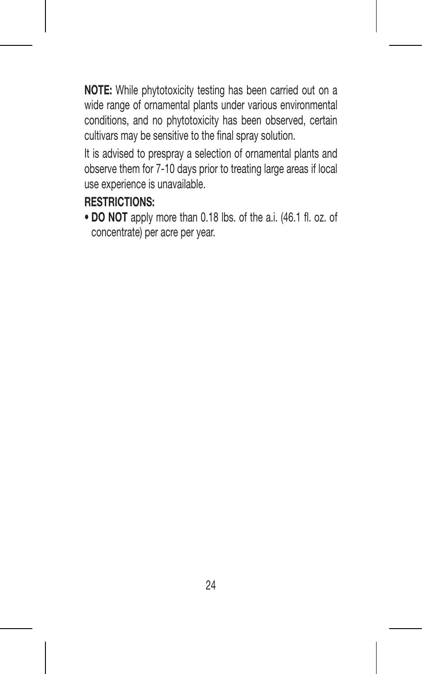**NOTE:** While phytotoxicity testing has been carried out on a wide range of ornamental plants under various environmental conditions, and no phytotoxicity has been observed, certain cultivars may be sensitive to the final spray solution.

It is advised to prespray a selection of ornamental plants and observe them for 7-10 days prior to treating large areas if local use experience is unavailable.

## **RESTRICTIONS:**

**• DO NOT** apply more than 0.18 lbs. of the a.i. (46.1 fl. oz. of concentrate) per acre per year.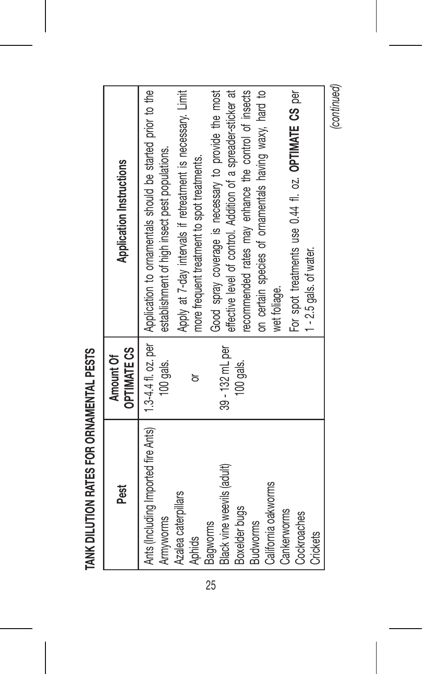| Pest                                                           | <b>OPTIMATE CS</b><br>Amount Of | Application Instructions                                                                                                         |
|----------------------------------------------------------------|---------------------------------|----------------------------------------------------------------------------------------------------------------------------------|
| Ants (Including Imported fire Ants)<br>Amyworms                | 100 gals.                       | 1.3-4.4.1, oz. per   Application to ornamentals should be started prior to the<br>establishment of high insect pest populations. |
| Azalea caterpillars<br>Aphids                                  | ៦                               | Apply at 7-day intervals if retreatment is necessary. Limit<br>more frequent treatment to spot treatments.                       |
| Black vine weevils (adult)<br>Boxelder bugs<br><b>Bagworms</b> | 39 - 132 mL per<br>$100$ gals.  | Good spray coverage is necessary to provide the most<br>effective level of control. Addition of a spreader-sticker at            |
| California oakworms<br><b>Budworms</b>                         |                                 | on certain species of ornamentals having waxy, hard to<br>recommended rates may enhance the control of insects<br>wet foliage.   |
| Cankerworms<br>Cockroaches<br>Crickets                         |                                 | For spot treatments use 0.44 fl. oz. OPTIMATE CS per<br>$1 - 2.5$ gals. of water.                                                |
|                                                                |                                 | (continued)                                                                                                                      |

TANK DILUTION RATES FOR ORNAMENTAL PESTS **TANK DILUTION RATES FOR ORNAMENTAL PESTS**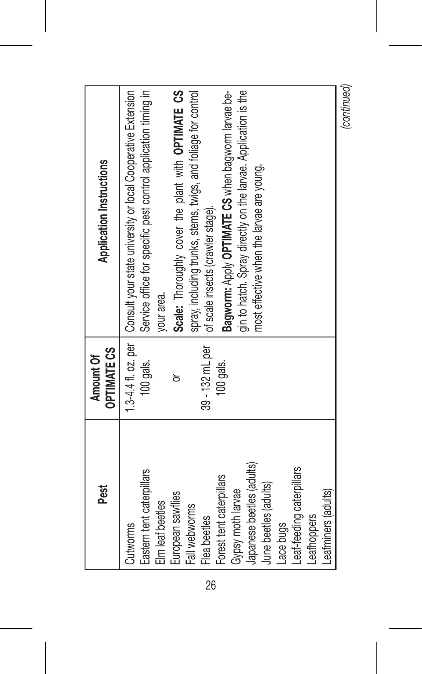| Pest                                                                                                                                                                                                                                                                                                   | <b>OPTIMATE CS</b><br>Amount Of                | <b>Application Instructions</b>                                                                                                                                                                                                                                                                                                                                                                                                                                                                      |
|--------------------------------------------------------------------------------------------------------------------------------------------------------------------------------------------------------------------------------------------------------------------------------------------------------|------------------------------------------------|------------------------------------------------------------------------------------------------------------------------------------------------------------------------------------------------------------------------------------------------------------------------------------------------------------------------------------------------------------------------------------------------------------------------------------------------------------------------------------------------------|
| Japanese beetles (adults)<br>Leaf-feeding caterpillars<br>Eastern tent caterpillars<br>Forest tent caterpillars<br>June beetles (adults)<br>Leafminers (adults)<br>Gypsy moth larvae<br>European sawflies<br>Elm leaf beetles<br>Fall webworms<br>Leathoppers<br>Flea beetles<br>Lace bugs<br>Cutworms | 39 - 132 mL per<br>100 gals.<br>100 gals.<br>ਠ | 1.3-4.4 fl. oz. per   Consult your state university or local Cooperative Extension<br>Service office for specific pest control application timing in<br>Scale: Thoroughly cover the plant with OPTIMATE CS<br>spray, including trunks, stems, twigs, and foliage for control<br>gin to hatch. Spray directly on the larvae. Application is the<br>Bagworm: Apply OPTIMATE CS when bagworm larvae be-<br>most effective when the larvae are young.<br>of scale insects (crawler stage).<br>your area. |
|                                                                                                                                                                                                                                                                                                        |                                                | (continued)                                                                                                                                                                                                                                                                                                                                                                                                                                                                                          |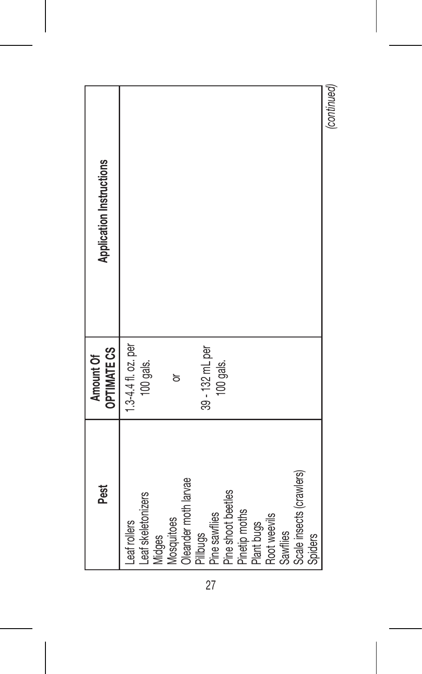| Pest                         | <b>OPTIMATE CS</b><br>Amount Of | <b>Application Instructions</b> |
|------------------------------|---------------------------------|---------------------------------|
| Leaf rollers                 | 1.3-4.41. oz. per               |                                 |
| Leaf skeletonizers<br>Midges | 100 gals.                       |                                 |
| Mosquitoes                   | ਠ                               |                                 |
| Oleander moth larvae         |                                 |                                 |
| Pillbugs                     | 39 - 132 mL per                 |                                 |
| Pine sawflies                | 100 gals.                       |                                 |
| Pine shoot beetles           |                                 |                                 |
| Pinetip moths                |                                 |                                 |
| Plant bugs                   |                                 |                                 |
| Root weevils                 |                                 |                                 |
| <b>Sawflies</b>              |                                 |                                 |
| Scale insects (crawlers)     |                                 |                                 |
| Spiders                      |                                 |                                 |
|                              |                                 | Innetimund                      |

*(continued)*

27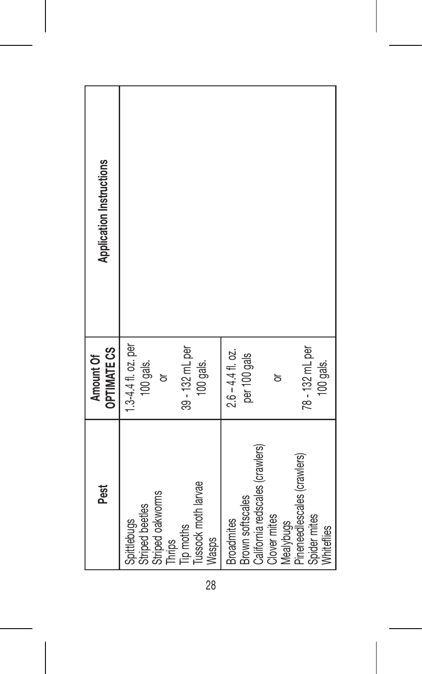| Pest                                                                                                      | <b>OPTIMATE CS</b><br>Amount Of                                     | <b>Application Instructions</b> |
|-----------------------------------------------------------------------------------------------------------|---------------------------------------------------------------------|---------------------------------|
| Tussock moth larvae<br>Striped oakworms<br>Striped beetles<br>Spittlebugs<br>Tip moths<br>Wasps<br>Thrips | 1.3-4.41. oz. per<br>39 - 132 mL per<br>100 gals.<br>100 gals.<br>ਠ |                                 |
| California redscales (crawlers)<br>Brown softscales<br><b>Broadmites</b>                                  | $2.6 - 4.4$ fl. oz.<br>per 100 gals                                 |                                 |
| Clover mites<br>Mealybugs                                                                                 | ៦                                                                   |                                 |
| Pineneedlescales (crawlers)<br>Spider mites<br>Whiteflies                                                 | 78 - 132 mL per<br>100 gals.                                        |                                 |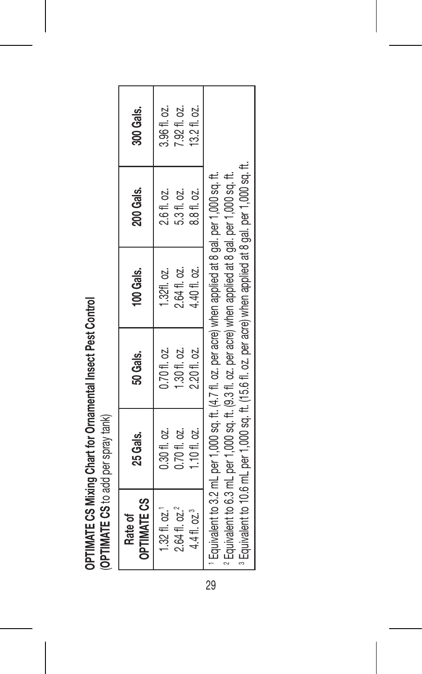OPTIMATE CS Mixing Chart for Ornamental Insect Pest Control **OPTIMATE CS Mixing Chart for Ornamental Insect Pest Control** (OPTIMATE CS to add per spray tank) (**OPTIMATE CS** to add per spray tank)

| <b>OPTIMATE CS</b><br>Rate of | 25 Gals.                                                                                                                                                                                                         | 50 Gals.     | 100 Gals.    | 200 Gals.                                                                                                             | 300 Gals.    |
|-------------------------------|------------------------------------------------------------------------------------------------------------------------------------------------------------------------------------------------------------------|--------------|--------------|-----------------------------------------------------------------------------------------------------------------------|--------------|
| 1.32 f1.02.                   | 0.30 fl. oz.                                                                                                                                                                                                     | 0.70 fl. oz. | 1.32fl. oz.  | 2.611. oz.                                                                                                            | 3.96 fl. oz. |
| 2.64 fl. oz. <sup>2</sup>     | $0.70f1.$ oz.                                                                                                                                                                                                    | 1.30 fl. oz. | 2.641, 02.   | 5.31, oz.                                                                                                             | 7.9211.02.   |
| 4.41. oz. <sup>3</sup>        | .1011.02.                                                                                                                                                                                                        | 2.20 fl. oz. | 4.40 fl. oz. | 8.8 fl. oz.                                                                                                           | 13.21.02.    |
|                               | Equivalent to 3.2 mL per 1,000 sq. ft. (4.7 fl. oz. per acre) when applied at 8 gal. per 1,000 sq. ft.<br>Equivalent to 6.3 mL per 1,000 sq. ft. (9.3 fl. oz. per acre) when applied at 8 gal. per 1,000 sq. ft. |              |              | <sup>3</sup> Equivalent to 10.6 mL per 1,000 sq. ft. (15.6 fl. oz. per acre) when applied at 8 gal. per 1,000 sq. ft. |              |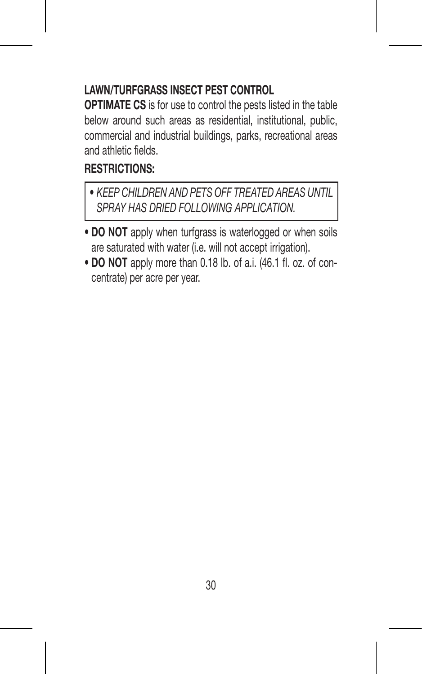#### **LAWN/TURFGRASS INSECT PEST CONTROL**

**OPTIMATE CS** is for use to control the pests listed in the table below around such areas as residential, institutional, public, commercial and industrial buildings, parks, recreational areas and athletic fields.

### **RESTRICTIONS:**

- *KEEP CHILDREN AND PETS OFF TREATED AREAS UNTIL SPRAY HAS DRIED FOLLOWING APPLICATION.*
- **DO NOT** apply when turfgrass is waterlogged or when soils are saturated with water (i.e. will not accept irrigation).
- **DO NOT** apply more than 0.18 lb. of a.i. (46.1 fl. oz. of concentrate) per acre per year.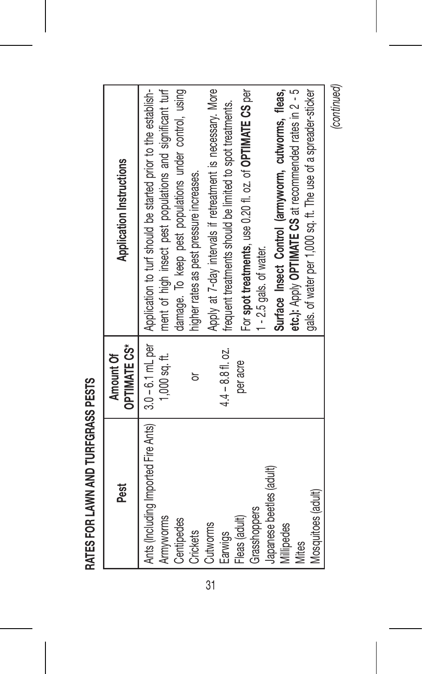| í |
|---|
|   |
|   |
|   |
|   |
|   |
|   |
|   |

| Pest                                                                                                                                                                                                        | <b>OPTIMATE CS*</b><br>Amount Of                        | Application Instructions                                                                                                                                                                                                                                                                                                                                                                                                                                                                                                                                                                                                                          |
|-------------------------------------------------------------------------------------------------------------------------------------------------------------------------------------------------------------|---------------------------------------------------------|---------------------------------------------------------------------------------------------------------------------------------------------------------------------------------------------------------------------------------------------------------------------------------------------------------------------------------------------------------------------------------------------------------------------------------------------------------------------------------------------------------------------------------------------------------------------------------------------------------------------------------------------------|
| Ants (Including Imported Fire Ants)<br>Japanese beetles (adult)<br>Mosquitoes (adult)<br>Grasshoppers<br>Fleas (adult)<br>Armyworms<br>Centipedes<br>Cutworms<br>Millipedes<br>Crickets<br>Earwigs<br>Vites | $4.4 - 8.8$ fl. oz.<br>$1,000$ sq. ft.<br>per acre<br>ă | ment of high insect pest populations and significant turf<br>Apply at 7-day intervals if retreatment is necessary. More<br>For spot treatments, use 0.2011, oz. of OPTIMATE CS per<br>damage. To keep pest populations under control, using<br>etc.): Apply OPTIMATE CS at recommended rates in 2 - 5<br>gals. of water per 1,000 sq. ft. The use of a spreader-sticker<br>3.0-6.1 mL per   Application to turf should be started prior to the establish-<br>Surface Insect Control (armyworm, cutworms, fleas,<br>frequent treatments should be limited to spot treatments.<br>higher rates as pest pressure increases.<br>1-2.5 gals. of water. |

*(continued)*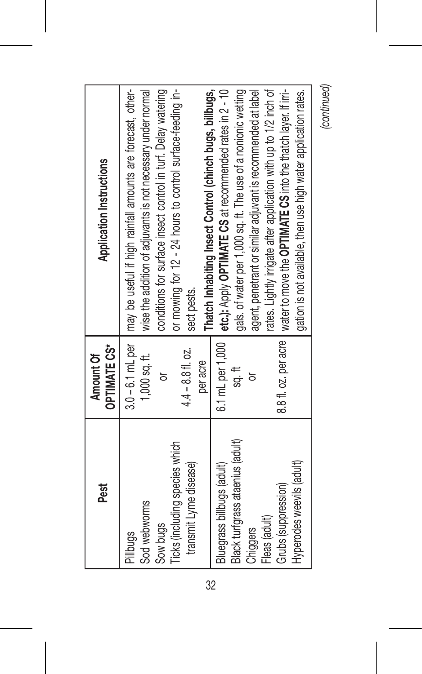| Pest                                                                                                                                            | <b>OPTIMATE CS*</b><br>Amount Of                                              | <b>Application Instructions</b>                                                                                                                                                                                                                                                                                                                                                                                                                                                      |
|-------------------------------------------------------------------------------------------------------------------------------------------------|-------------------------------------------------------------------------------|--------------------------------------------------------------------------------------------------------------------------------------------------------------------------------------------------------------------------------------------------------------------------------------------------------------------------------------------------------------------------------------------------------------------------------------------------------------------------------------|
| Ticks (including species which<br>transmit Lyme disease)<br>Sod webworms<br>Sow bugs<br>I Pillbugs                                              | $3.0 - 6.1$ mL per<br>$4.4 - 8.8$ fl. oz.<br>$1,000$ sq. ft.<br>per acre<br>ă | I may be useful if high rainfall amounts are forecast, other-<br>wise the addition of adjuvants is not necessary under normal<br>conditions for surface insect control in turf. Delay watering<br>or mowing for 12 - 24 hours to control surface-feeding in-<br>sect pests.                                                                                                                                                                                                          |
| Black turfgrass ataenius (adult)<br>Hyperodes weevils (adult)<br>Bluegrass billbugs (adult)<br>Grubs (suppression)<br>Fleas (adult)<br>Chiggers | 6.1 mL per 1,000<br>$\frac{11}{20}$<br>ă                                      | rates. Lightly irrigate after application with up to 1/2 inch of<br>etc.): Apply OPTIMATE CS at recommended rates in 2 - 10<br>gals. of water per 1,000 sq. ft. The use of a nonionic wetting<br>agent, penetrant or similar adjuvant is recommended at label<br>8.8 fl. oz. per acre   water to move the OPTIMATE CS into the thatch layer. If irri-<br>Thatch Inhabiting Insect Control (chinch bugs, billbugs,<br>gation is not available, then use high water application rates. |
|                                                                                                                                                 |                                                                               | $\overline{a}$                                                                                                                                                                                                                                                                                                                                                                                                                                                                       |

*(continued)*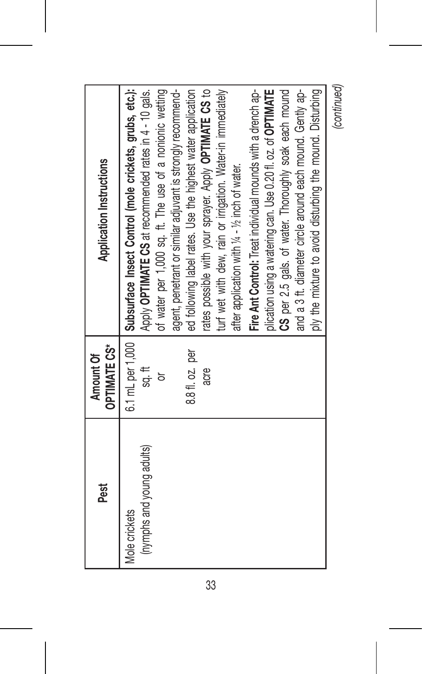| Pest                                       | <b>OPTIMATE CS*</b><br>Amount Of | <b>Application Instructions</b>                                                                                                      |
|--------------------------------------------|----------------------------------|--------------------------------------------------------------------------------------------------------------------------------------|
| (nymphs and young adults)<br>Mole crickets | sg. It                           | 6.1 mL per 1,000   Subsurface Insect Control (mole crickets, grubs, etc.):<br>Apply OPTIMATE CS at recommended rates in 4 - 10 gals. |
|                                            | ă                                | of water per 1,000 sq. ft. The use of a nonionic wetting                                                                             |
|                                            |                                  | agent, penetrant or similar adjuvant is strongly recommend-                                                                          |
|                                            | 8.811. oz. per                   | ed following label rates. Use the highest water application                                                                          |
|                                            | acre                             | rates possible with your sprayer. Apply OPTIMATE CS to                                                                               |
|                                            |                                  | turf wet with dew, rain or inigation. Water-in immediately                                                                           |
|                                            |                                  | after application with 1/4 - 1/2 inch of water.                                                                                      |
|                                            |                                  | Fire Ant Control: Treat individual mounds with a drench ap-                                                                          |
|                                            |                                  | plication using a watering can. Use 0.20 fl. oz. of OPTIMATE                                                                         |
|                                            |                                  | CS per 2.5 gals, of water. Thoroughly soak each mound                                                                                |
|                                            |                                  | and a 3 ft. diameter circle around each mound. Gently ap-                                                                            |
|                                            |                                  | ply the mixture to avoid disturbing the mound. Disturbing                                                                            |
|                                            |                                  | (continued)                                                                                                                          |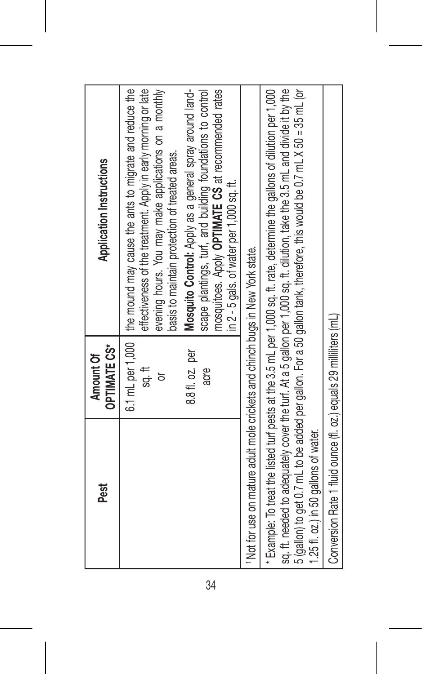| Pest                                                                                      | <b>OPTIMATE CS*</b><br>Amount Of       | <b>Application Instructions</b>                                                                                                                                                                                                                                                                                                                                                                                                                                                      |
|-------------------------------------------------------------------------------------------|----------------------------------------|--------------------------------------------------------------------------------------------------------------------------------------------------------------------------------------------------------------------------------------------------------------------------------------------------------------------------------------------------------------------------------------------------------------------------------------------------------------------------------------|
|                                                                                           | 8.8 fl. oz. per<br>sg. It<br>acre<br>৯ | 6.1 mL per 1,000   the mound may cause the ants to migrate and reduce the<br>effectiveness of the treatment. Apply in early morning or late<br>evening hours. You may make applications on a monthly<br>mosquitoes. Apply OPTIMATE CS at recommended rates<br>Mosquito Control: Apply as a general spray around land-<br>scape plantings, turf, and building foundations to control<br>basis to maintain protection of treated areas.<br>in $2$ - 5 gals. of water per 1,000 sq. ft. |
| <sup>1</sup> Not for use on mature adult mole crickets and chinch bugs in New York state. |                                        |                                                                                                                                                                                                                                                                                                                                                                                                                                                                                      |
| 1.25 fl. oz.) in 50 gallons of water.                                                     |                                        | 5 (gallon) to get 0.7 mL to be added per gallon. For a 50 gallon tank, therefore, this would be 0.7 mL X 50 = 35 mL (or<br>sq. ft. needed to adequately cover the turf. At a 5 gallon per 1,000 sq. ft. dilution, take the 3.5 mL and divide it by the<br>* Example: To treat the listed turf pests at the 3.5 mL per 1,000 sq. ft. rate, determine the gallons of dilution per 1,000                                                                                                |
| Conversion Rate 1 fluid ounce (fl. oz.) equals 29 milliliters (mL)                        |                                        |                                                                                                                                                                                                                                                                                                                                                                                                                                                                                      |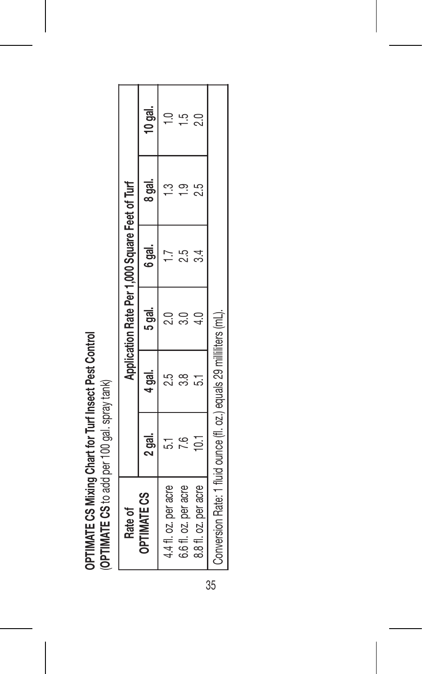OPTIMATE CS Mixing Chart for Turf Insect Pest Control **OPTIMATE CS Mixing Chart for Turf Insect Pest Control** (OPTIMATE CS to add per 100 gal. spray tank) (**OPTIMATE CS** to add per 100 gal. spray tank)

| Rate of                                                              |        |               | Application Rate Per 1,000 Square Feet of Turf |        |        |             |
|----------------------------------------------------------------------|--------|---------------|------------------------------------------------|--------|--------|-------------|
| <b>OPTIMATE CS</b>                                                   | 2 gal. | 4 gal.        | 5 aal.                                         | 6 gal. | 8 gal. | $10$ gal.   |
| 4.41. oz. per acre                                                   |        | 25            |                                                | r.     |        |             |
| 6.611. oz. per acre                                                  |        | $\frac{8}{3}$ | <u>ី</u> និ                                    | ΣŚ     | ල.     | F.          |
| 8.8 fl. oz. per acre                                                 | 5      |               | ٩,                                             |        | 2.5    | $\tilde{c}$ |
| Conversion Rate: 1 fluid ounce (fl. oz.) equals 29 milliliters (mL). |        |               |                                                |        |        |             |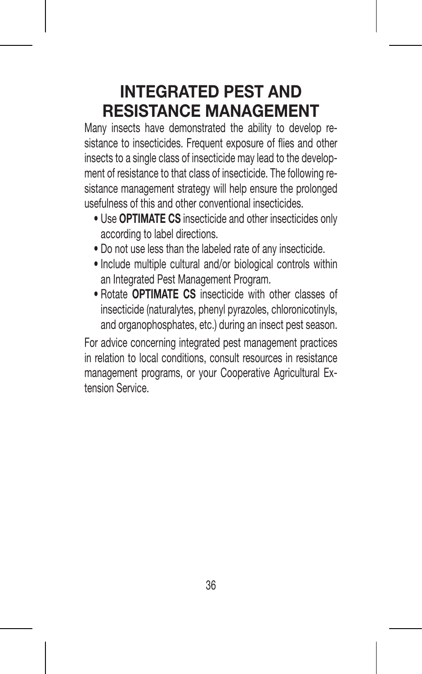## **INTEGRATED PEST AND RESISTANCE MANAGEMENT**

Many insects have demonstrated the ability to develop resistance to insecticides. Frequent exposure of flies and other insects to a single class of insecticide may lead to the development of resistance to that class of insecticide. The following resistance management strategy will help ensure the prolonged usefulness of this and other conventional insecticides.

- Use **OPTIMATE CS** insecticide and other insecticides only according to label directions.
- Do not use less than the labeled rate of any insecticide.
- Include multiple cultural and/or biological controls within an Integrated Pest Management Program.
- Rotate **OPTIMATE CS** insecticide with other classes of insecticide (naturalytes, phenyl pyrazoles, chloronicotinyls, and organophosphates, etc.) during an insect pest season.

For advice concerning integrated pest management practices in relation to local conditions, consult resources in resistance management programs, or your Cooperative Agricultural Extension Service.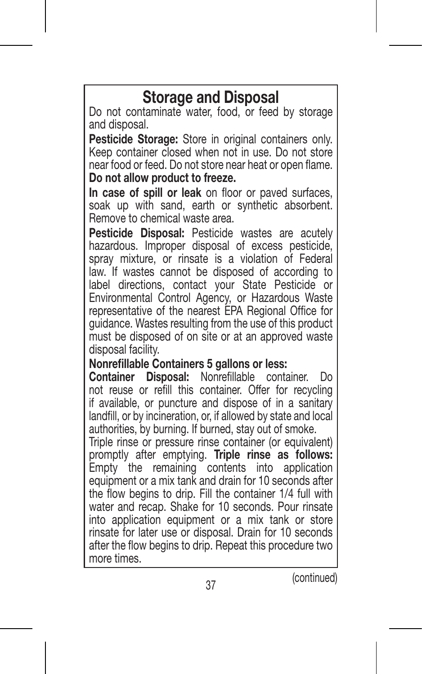## **Storage and Disposal**

Do not contaminate water, food, or feed by storage and disposal.

**Pesticide Storage:** Store in original containers only. Keep container closed when not in use. Do not store near food or feed. Do not store near heat or open flame. **Do not allow product to freeze.** 

**In case of spill or leak** on floor or paved surfaces, soak up with sand, earth or synthetic absorbent. Remove to chemical waste area.

**Pesticide Disposal:** Pesticide wastes are acutely hazardous. Improper disposal of excess pesticide. spray mixture, or rinsate is a violation of Federal law. If wastes cannot be disposed of according to label directions, contact your State Pesticide or Environmental Control Agency, or Hazardous Waste representative of the nearest EPA Regional Office for guidance. Wastes resulting from the use of this product must be disposed of on site or at an approved waste disposal facility.

#### **Nonrefillable Containers 5 gallons or less:**

**Container Disposal:** Nonrefillable container. Do not reuse or refill this container. Offer for recycling if available, or puncture and dispose of in a sanitary landfill, or by incineration, or, if allowed by state and local authorities, by burning. If burned, stay out of smoke.

Triple rinse or pressure rinse container (or equivalent) promptly after emptying. **Triple rinse as follows:** Empty the remaining contents into application equipment or a mix tank and drain for 10 seconds after the flow begins to drip. Fill the container 1/4 full with water and recap. Shake for 10 seconds. Pour rinsate into application equipment or a mix tank or store rinsate for later use or disposal. Drain for 10 seconds after the flow begins to drip. Repeat this procedure two more times.

(continued)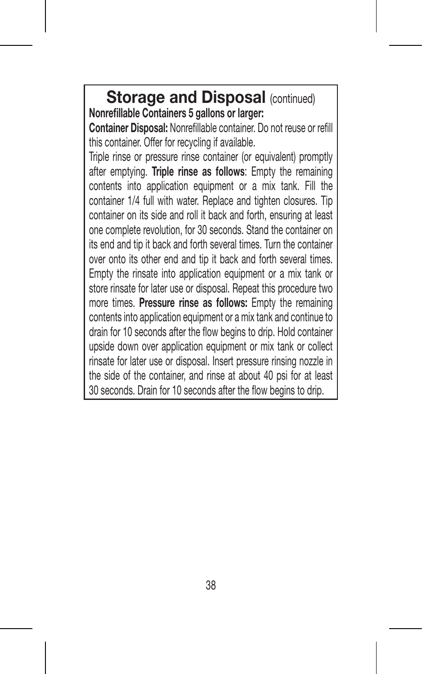**Storage and Disposal (continued) Nonrefillable Containers 5 gallons or larger:**

**Container Disposal:** Nonrefillable container. Do not reuse or refill this container. Offer for recycling if available.

Triple rinse or pressure rinse container (or equivalent) promptly after emptying. **Triple rinse as follows**: Empty the remaining contents into application equipment or a mix tank. Fill the container 1/4 full with water. Replace and tighten closures. Tip container on its side and roll it back and forth, ensuring at least one complete revolution, for 30 seconds. Stand the container on its end and tip it back and forth several times. Turn the container over onto its other end and tip it back and forth several times. Empty the rinsate into application equipment or a mix tank or store rinsate for later use or disposal. Repeat this procedure two more times. **Pressure rinse as follows:** Empty the remaining contents into application equipment or a mix tank and continue to drain for 10 seconds after the flow begins to drip. Hold container upside down over application equipment or mix tank or collect rinsate for later use or disposal. Insert pressure rinsing nozzle in the side of the container, and rinse at about 40 psi for at least 30 seconds. Drain for 10 seconds after the flow begins to drip.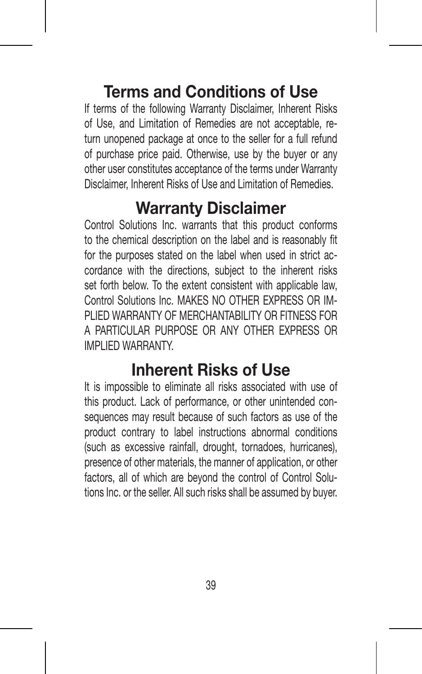## **Terms and Conditions of Use**

If terms of the following Warranty Disclaimer, Inherent Risks of Use, and Limitation of Remedies are not acceptable, return unopened package at once to the seller for a full refund of purchase price paid. Otherwise, use by the buyer or any other user constitutes acceptance of the terms under Warranty Disclaimer, Inherent Risks of Use and Limitation of Remedies.

## **Warranty Disclaimer**

Control Solutions Inc. warrants that this product conforms to the chemical description on the label and is reasonably fit for the purposes stated on the label when used in strict accordance with the directions, subject to the inherent risks set forth below. To the extent consistent with applicable law. Control Solutions Inc. MAKES NO OTHER EXPRESS OR IM-PLIED WARRANTY OF MERCHANTABILITY OR FITNESS FOR A PARTICULAR PURPOSE OR ANY OTHER EXPRESS OR IMPLIED WARRANTY.

## **Inherent Risks of Use**

It is impossible to eliminate all risks associated with use of this product. Lack of performance, or other unintended consequences may result because of such factors as use of the product contrary to label instructions abnormal conditions (such as excessive rainfall, drought, tornadoes, hurricanes), presence of other materials, the manner of application, or other factors, all of which are beyond the control of Control Solutions Inc. or the seller. All such risks shall be assumed by buyer.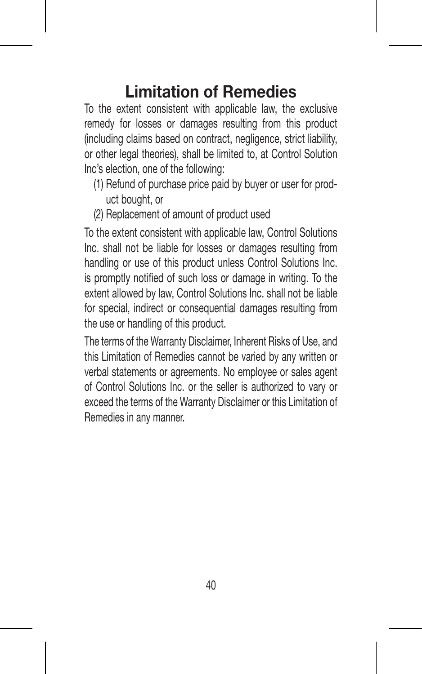## **Limitation of Remedies**

To the extent consistent with applicable law, the exclusive remedy for losses or damages resulting from this product (including claims based on contract, negligence, strict liability, or other legal theories), shall be limited to, at Control Solution Inc's election, one of the following:

- (1) Refund of purchase price paid by buyer or user for product bought, or
- (2) Replacement of amount of product used

To the extent consistent with applicable law, Control Solutions Inc. shall not be liable for losses or damages resulting from handling or use of this product unless Control Solutions Inc. is promptly notified of such loss or damage in writing. To the extent allowed by law, Control Solutions Inc. shall not be liable for special, indirect or consequential damages resulting from the use or handling of this product.

The terms of the Warranty Disclaimer, Inherent Risks of Use, and this Limitation of Remedies cannot be varied by any written or verbal statements or agreements. No employee or sales agent of Control Solutions Inc. or the seller is authorized to vary or exceed the terms of the Warranty Disclaimer or this Limitation of Remedies in any manner.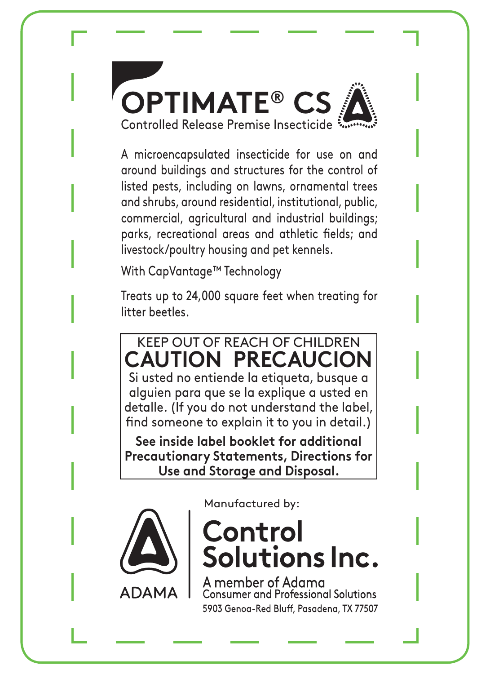

A microencapsulated insecticide for use on and around buildings and structures for the control of listed pests, including on lawns, ornamental trees and shrubs, around residential, institutional, public, commercial, agricultural and industrial buildings; parks, recreational areas and athletic fields; and livestock/poultry housing and pet kennels.

With CapVantage™ Technology

Treats up to 24,000 square feet when treating for litter beetles.

## KEEP OUT OF REACH OF CHILDREN **CAUTION PRECAUCION** Si usted no entiende la etiqueta, busque a

alguien para que se la explique a usted en detalle. (If you do not understand the label, find someone to explain it to you in detail.)

**See inside label booklet for additional Precautionary Statements, Directions for Use and Storage and Disposal.**



Manufactured by:

## Control Solutions Inc.

member of Adama sumer and Professional Solutions 5903 Genog-Red Bluff, Pasadena, TX 77507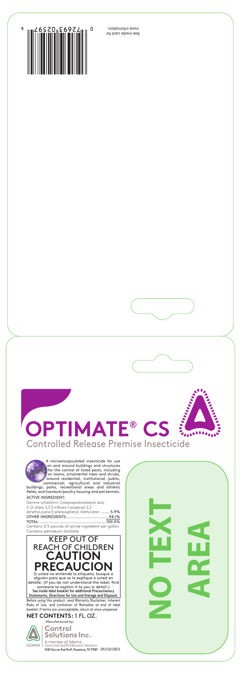

See inside card for more information.





**NO TEX TARE A**